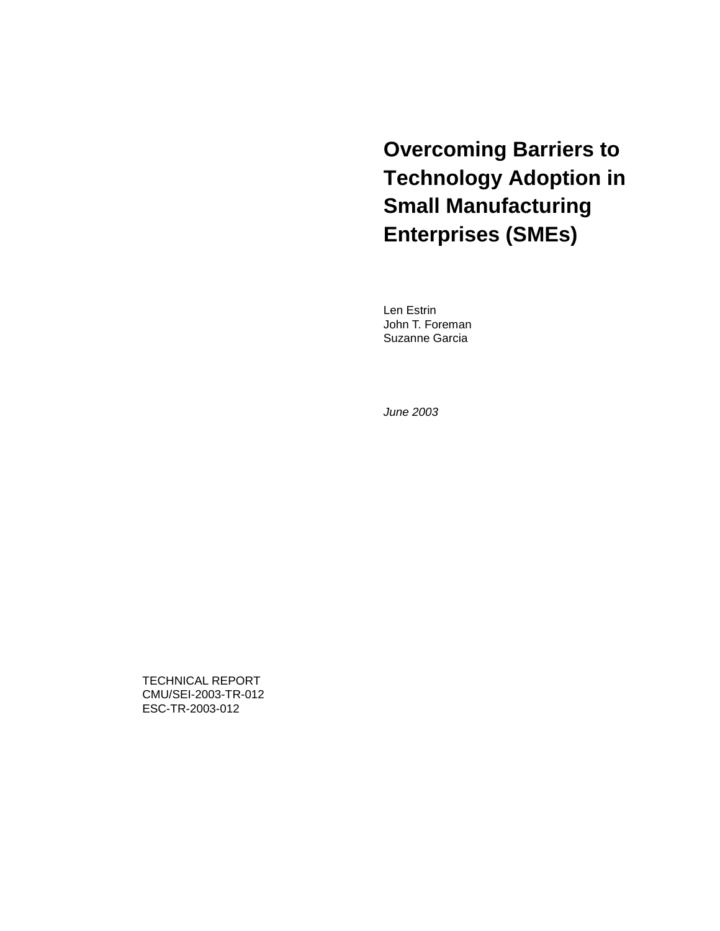**Overcoming Barriers to Technology Adoption in Small Manufacturing Enterprises (SMEs)** 

Len Estrin John T. Foreman Suzanne Garcia

June 2003

TECHNICAL REPORT CMU/SEI-2003-TR-012 ESC-TR-2003-012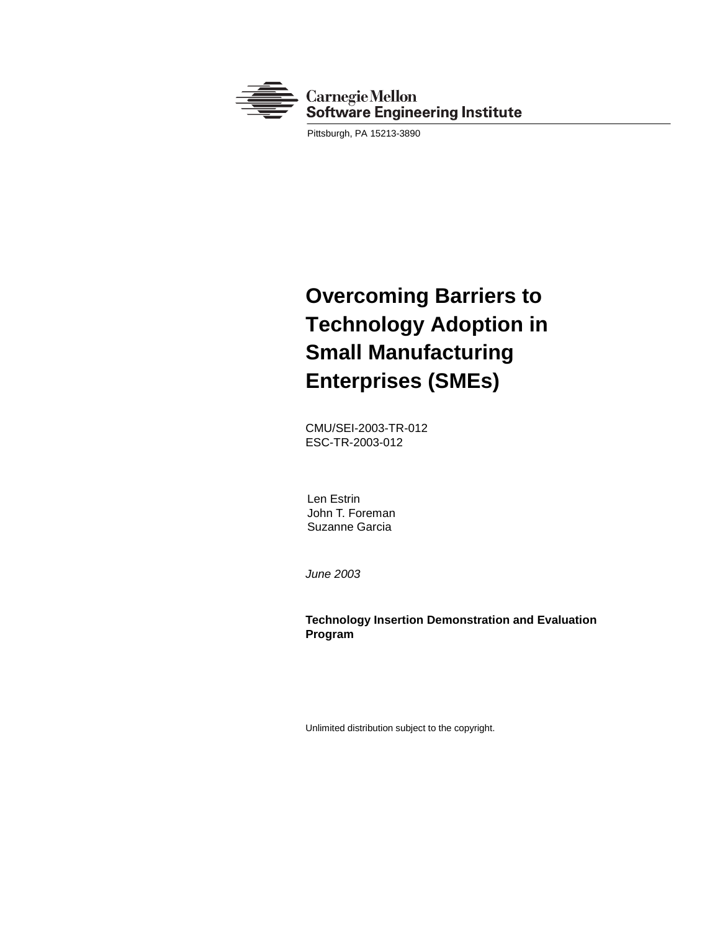

Pittsburgh, PA 15213-3890

# **Overcoming Barriers to Technology Adoption in Small Manufacturing Enterprises (SMEs)**

CMU/SEI-2003-TR-012 ESC-TR-2003-012

Len Estrin John T. Foreman Suzanne Garcia

June 2003

**Technology Insertion Demonstration and Evaluation Program** 

Unlimited distribution subject to the copyright.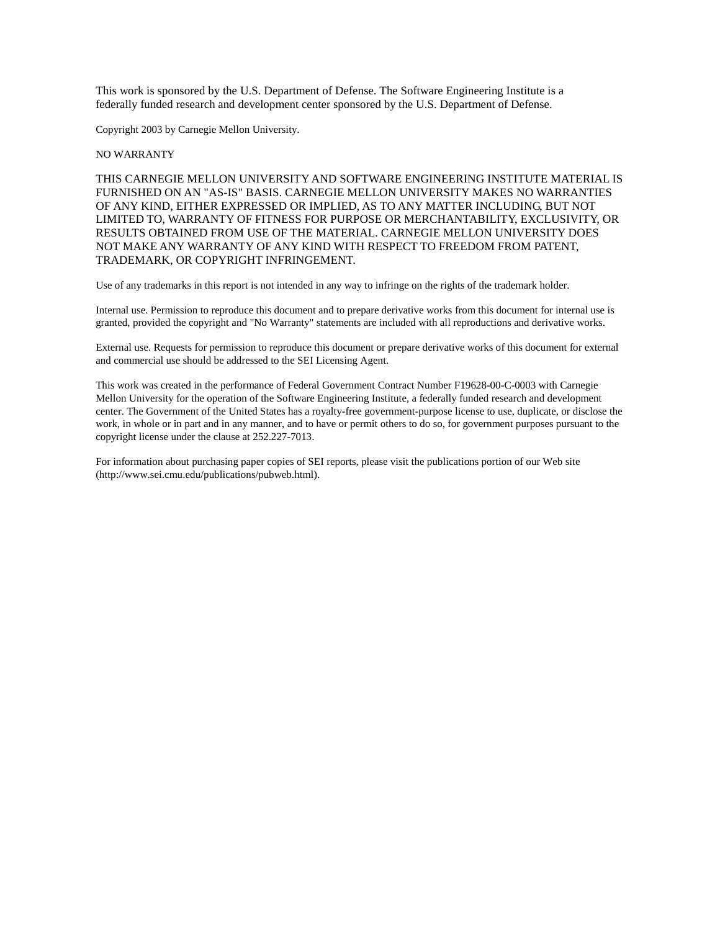This work is sponsored by the U.S. Department of Defense. The Software Engineering Institute is a federally funded research and development center sponsored by the U.S. Department of Defense.

Copyright 2003 by Carnegie Mellon University.

#### NO WARRANTY

THIS CARNEGIE MELLON UNIVERSITY AND SOFTWARE ENGINEERING INSTITUTE MATERIAL IS FURNISHED ON AN "AS-IS" BASIS. CARNEGIE MELLON UNIVERSITY MAKES NO WARRANTIES OF ANY KIND, EITHER EXPRESSED OR IMPLIED, AS TO ANY MATTER INCLUDING, BUT NOT LIMITED TO, WARRANTY OF FITNESS FOR PURPOSE OR MERCHANTABILITY, EXCLUSIVITY, OR RESULTS OBTAINED FROM USE OF THE MATERIAL. CARNEGIE MELLON UNIVERSITY DOES NOT MAKE ANY WARRANTY OF ANY KIND WITH RESPECT TO FREEDOM FROM PATENT, TRADEMARK, OR COPYRIGHT INFRINGEMENT.

Use of any trademarks in this report is not intended in any way to infringe on the rights of the trademark holder.

Internal use. Permission to reproduce this document and to prepare derivative works from this document for internal use is granted, provided the copyright and "No Warranty" statements are included with all reproductions and derivative works.

External use. Requests for permission to reproduce this document or prepare derivative works of this document for external and commercial use should be addressed to the SEI Licensing Agent.

This work was created in the performance of Federal Government Contract Number F19628-00-C-0003 with Carnegie Mellon University for the operation of the Software Engineering Institute, a federally funded research and development center. The Government of the United States has a royalty-free government-purpose license to use, duplicate, or disclose the work, in whole or in part and in any manner, and to have or permit others to do so, for government purposes pursuant to the copyright license under the clause at 252.227-7013.

For information about purchasing paper copies of SEI reports, please visit the publications portion of our Web site (http://www.sei.cmu.edu/publications/pubweb.html).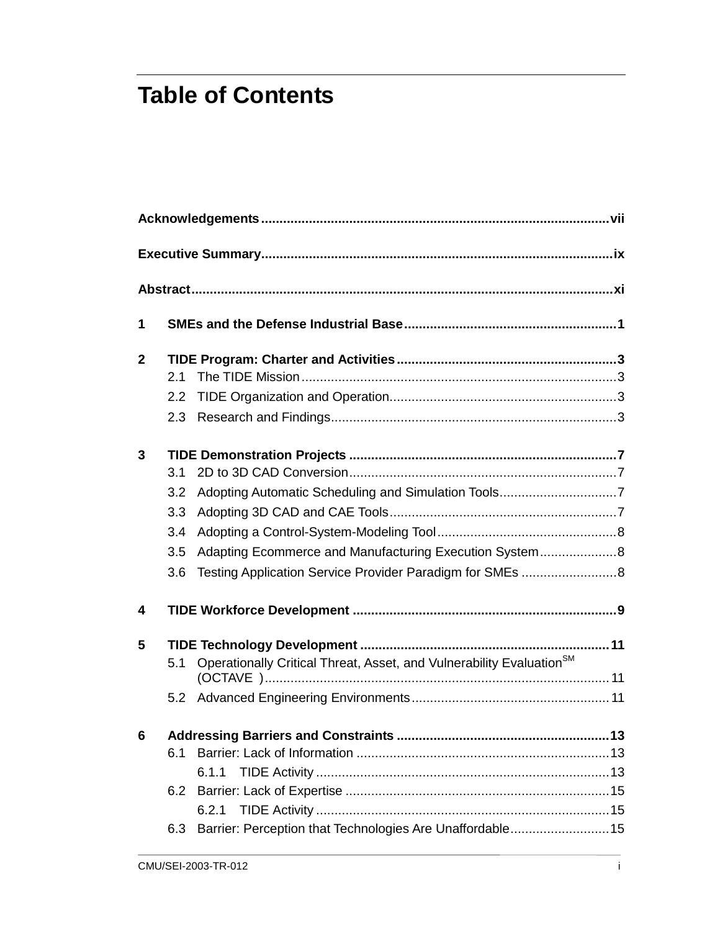# **Table of Contents**

| 1            |                  |                                                                                  |
|--------------|------------------|----------------------------------------------------------------------------------|
| $\mathbf{2}$ | 2.1              |                                                                                  |
|              | $2.2\phantom{0}$ |                                                                                  |
|              | 2.3              |                                                                                  |
|              |                  |                                                                                  |
| 3            |                  |                                                                                  |
|              | 3.1              |                                                                                  |
|              | 3.2              |                                                                                  |
|              | 3.3              |                                                                                  |
|              | 3.4              |                                                                                  |
|              | 3.5              | Adapting Ecommerce and Manufacturing Execution System8                           |
|              | 3.6              |                                                                                  |
| 4            |                  |                                                                                  |
| 5            |                  |                                                                                  |
|              | 5.1              | Operationally Critical Threat, Asset, and Vulnerability Evaluation <sup>SM</sup> |
|              |                  |                                                                                  |
|              |                  |                                                                                  |
|              |                  | .13                                                                              |
|              | 6.1              |                                                                                  |
|              |                  |                                                                                  |
|              | 6.2              |                                                                                  |
|              |                  | 6.2.1                                                                            |
|              | 6.3              | Barrier: Perception that Technologies Are Unaffordable 15                        |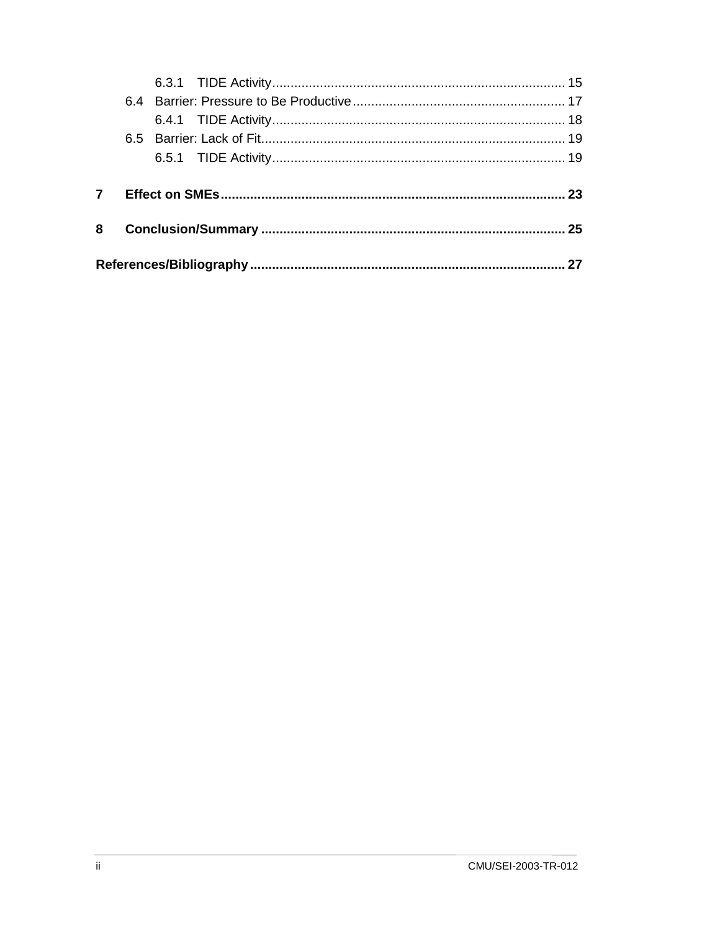| 8 |  |  |  | 25 |  |  |
|---|--|--|--|----|--|--|
|   |  |  |  |    |  |  |
|   |  |  |  |    |  |  |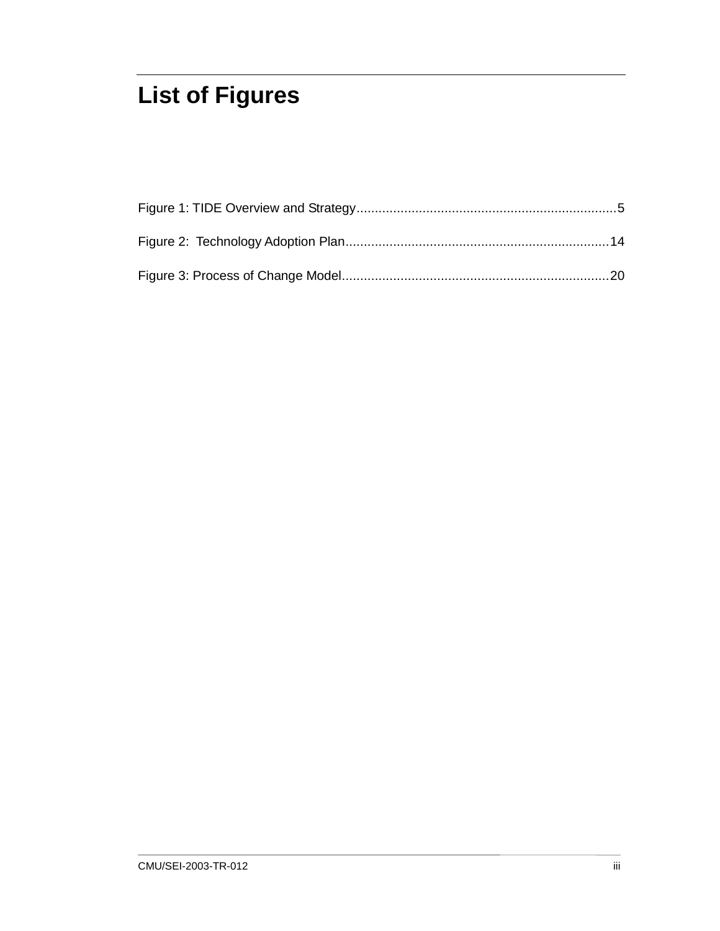# **List of Figures**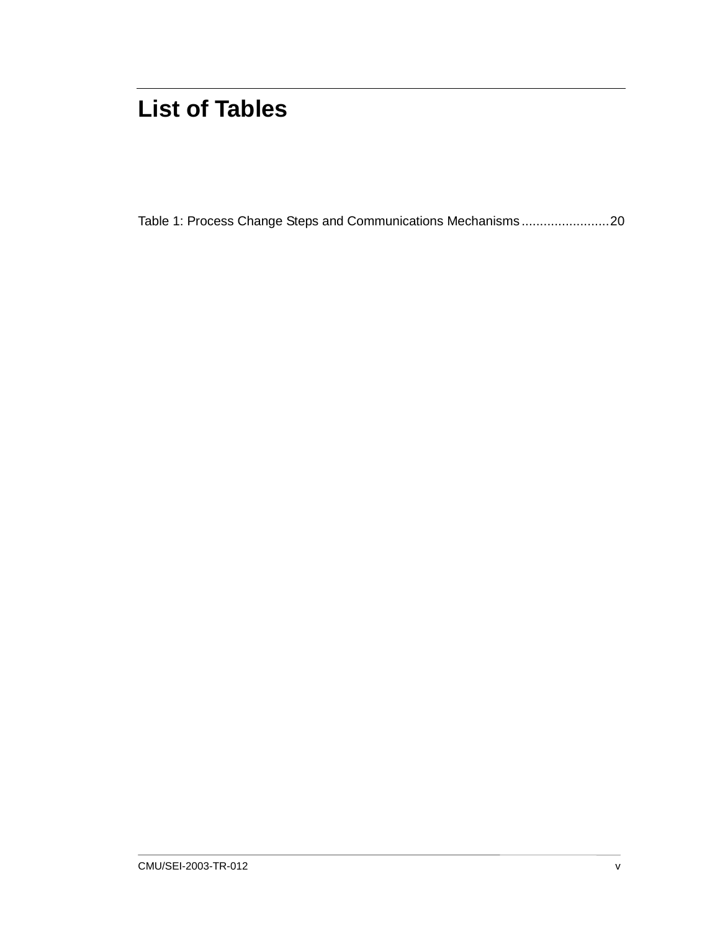# **List of Tables**

Table 1: Process Change Steps and Communications Mechanisms........................20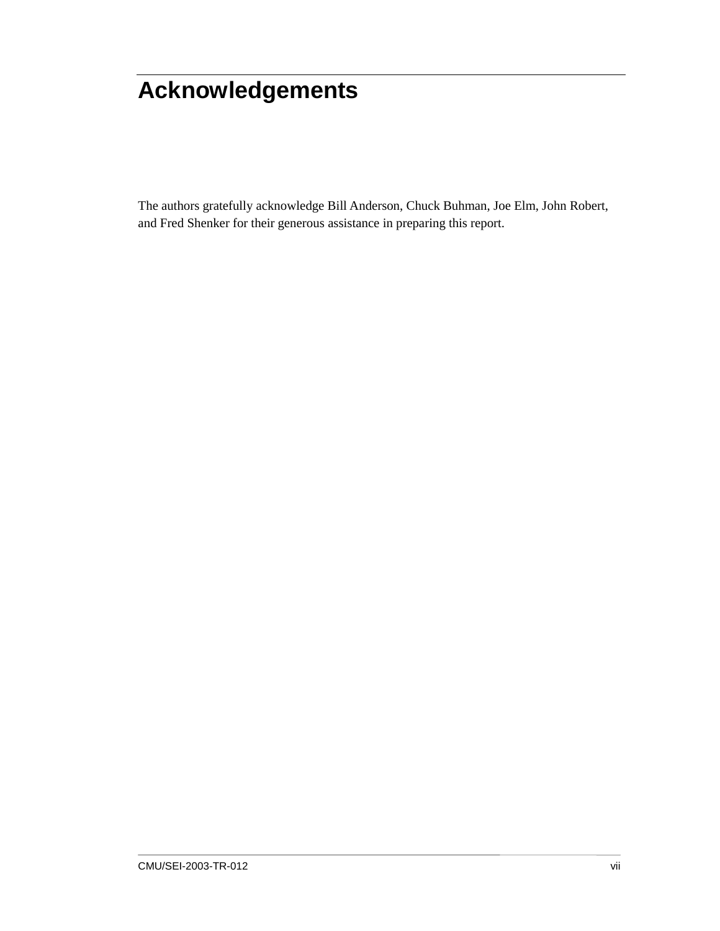# **Acknowledgements**

The authors gratefully acknowledge Bill Anderson, Chuck Buhman, Joe Elm, John Robert, and Fred Shenker for their generous assistance in preparing this report.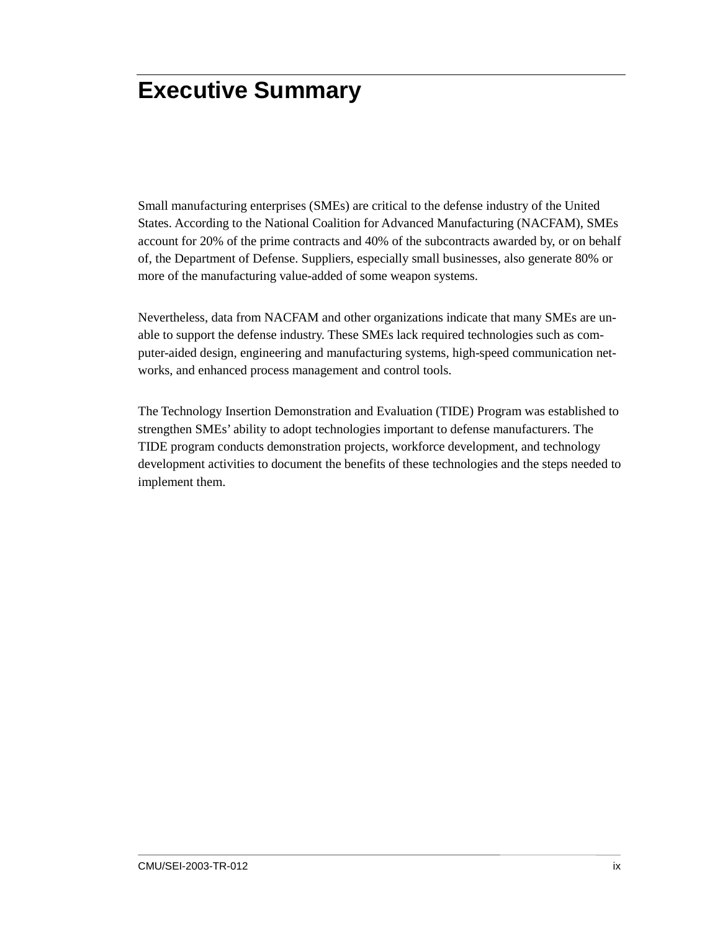### **Executive Summary**

Small manufacturing enterprises (SMEs) are critical to the defense industry of the United States. According to the National Coalition for Advanced Manufacturing (NACFAM), SMEs account for 20% of the prime contracts and 40% of the subcontracts awarded by, or on behalf of, the Department of Defense. Suppliers, especially small businesses, also generate 80% or more of the manufacturing value-added of some weapon systems.

Nevertheless, data from NACFAM and other organizations indicate that many SMEs are unable to support the defense industry. These SMEs lack required technologies such as computer-aided design, engineering and manufacturing systems, high-speed communication networks, and enhanced process management and control tools.

The Technology Insertion Demonstration and Evaluation (TIDE) Program was established to strengthen SMEs' ability to adopt technologies important to defense manufacturers. The TIDE program conducts demonstration projects, workforce development, and technology development activities to document the benefits of these technologies and the steps needed to implement them.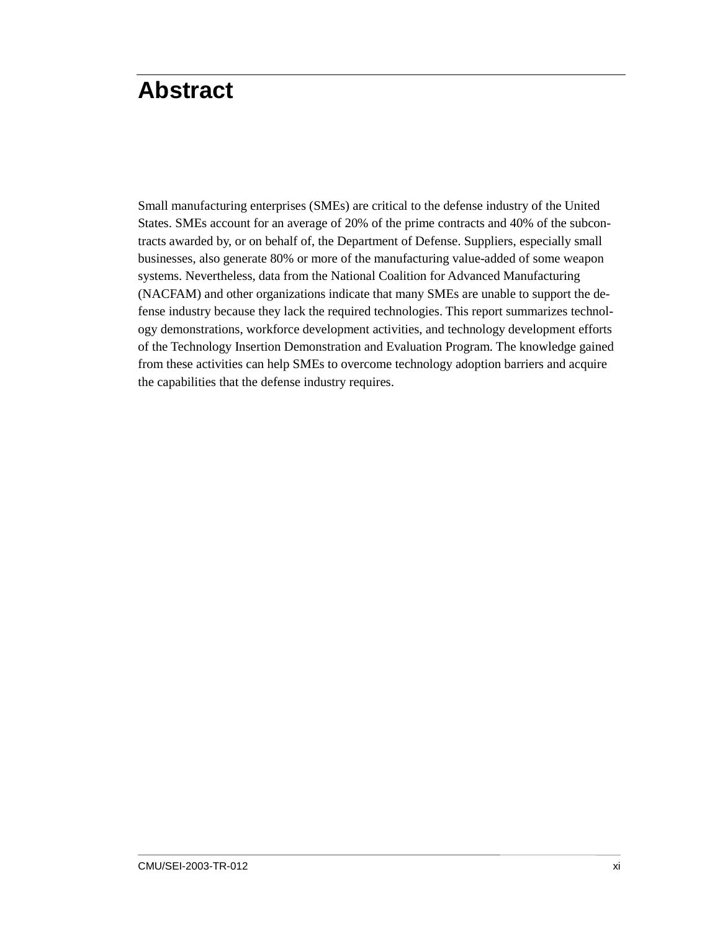### **Abstract**

Small manufacturing enterprises (SMEs) are critical to the defense industry of the United States. SMEs account for an average of 20% of the prime contracts and 40% of the subcontracts awarded by, or on behalf of, the Department of Defense. Suppliers, especially small businesses, also generate 80% or more of the manufacturing value-added of some weapon systems. Nevertheless, data from the National Coalition for Advanced Manufacturing (NACFAM) and other organizations indicate that many SMEs are unable to support the defense industry because they lack the required technologies. This report summarizes technology demonstrations, workforce development activities, and technology development efforts of the Technology Insertion Demonstration and Evaluation Program. The knowledge gained from these activities can help SMEs to overcome technology adoption barriers and acquire the capabilities that the defense industry requires.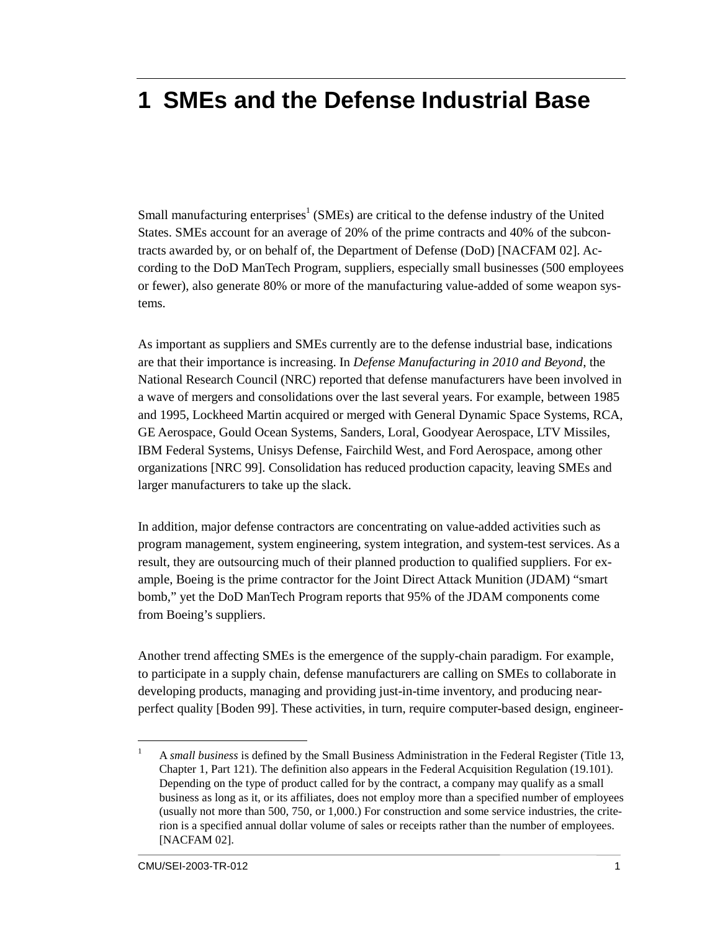### **1 SMEs and the Defense Industrial Base**

Small manufacturing enterprises<sup>1</sup> (SMEs) are critical to the defense industry of the United States. SMEs account for an average of 20% of the prime contracts and 40% of the subcontracts awarded by, or on behalf of, the Department of Defense (DoD) [NACFAM 02]. According to the DoD ManTech Program, suppliers, especially small businesses (500 employees or fewer), also generate 80% or more of the manufacturing value-added of some weapon systems.

As important as suppliers and SMEs currently are to the defense industrial base, indications are that their importance is increasing. In *Defense Manufacturing in 2010 and Beyond*, the National Research Council (NRC) reported that defense manufacturers have been involved in a wave of mergers and consolidations over the last several years. For example, between 1985 and 1995, Lockheed Martin acquired or merged with General Dynamic Space Systems, RCA, GE Aerospace, Gould Ocean Systems, Sanders, Loral, Goodyear Aerospace, LTV Missiles, IBM Federal Systems, Unisys Defense, Fairchild West, and Ford Aerospace, among other organizations [NRC 99]. Consolidation has reduced production capacity, leaving SMEs and larger manufacturers to take up the slack.

In addition, major defense contractors are concentrating on value-added activities such as program management, system engineering, system integration, and system-test services. As a result, they are outsourcing much of their planned production to qualified suppliers. For example, Boeing is the prime contractor for the Joint Direct Attack Munition (JDAM) "smart bomb," yet the DoD ManTech Program reports that 95% of the JDAM components come from Boeing's suppliers.

Another trend affecting SMEs is the emergence of the supply-chain paradigm. For example, to participate in a supply chain, defense manufacturers are calling on SMEs to collaborate in developing products, managing and providing just-in-time inventory, and producing nearperfect quality [Boden 99]. These activities, in turn, require computer-based design, engineer-

<sup>|&</sup>lt;br>|<br>| A *small business* is defined by the Small Business Administration in the Federal Register (Title 13, Chapter 1, Part 121). The definition also appears in the Federal Acquisition Regulation (19.101). Depending on the type of product called for by the contract, a company may qualify as a small business as long as it, or its affiliates, does not employ more than a specified number of employees (usually not more than 500, 750, or 1,000.) For construction and some service industries, the criterion is a specified annual dollar volume of sales or receipts rather than the number of employees. [NACFAM 02].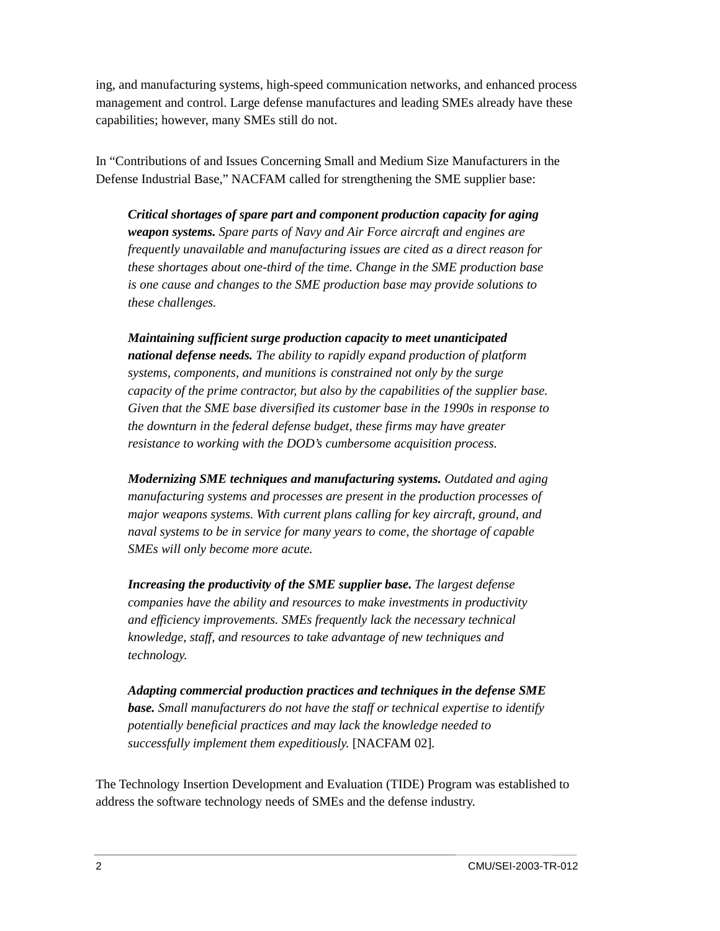ing, and manufacturing systems, high-speed communication networks, and enhanced process management and control. Large defense manufactures and leading SMEs already have these capabilities; however, many SMEs still do not.

In "Contributions of and Issues Concerning Small and Medium Size Manufacturers in the Defense Industrial Base," NACFAM called for strengthening the SME supplier base:

*Critical shortages of spare part and component production capacity for aging weapon systems. Spare parts of Navy and Air Force aircraft and engines are frequently unavailable and manufacturing issues are cited as a direct reason for these shortages about one-third of the time. Change in the SME production base is one cause and changes to the SME production base may provide solutions to these challenges.* 

*Maintaining sufficient surge production capacity to meet unanticipated national defense needs. The ability to rapidly expand production of platform systems, components, and munitions is constrained not only by the surge capacity of the prime contractor, but also by the capabilities of the supplier base. Given that the SME base diversified its customer base in the 1990s in response to the downturn in the federal defense budget, these firms may have greater resistance to working with the DOD's cumbersome acquisition process.* 

*Modernizing SME techniques and manufacturing systems. Outdated and aging manufacturing systems and processes are present in the production processes of major weapons systems. With current plans calling for key aircraft, ground, and naval systems to be in service for many years to come, the shortage of capable SMEs will only become more acute.* 

*Increasing the productivity of the SME supplier base. The largest defense companies have the ability and resources to make investments in productivity and efficiency improvements. SMEs frequently lack the necessary technical knowledge, staff, and resources to take advantage of new techniques and technology.* 

*Adapting commercial production practices and techniques in the defense SME base. Small manufacturers do not have the staff or technical expertise to identify potentially beneficial practices and may lack the knowledge needed to successfully implement them expeditiously.* [NACFAM 02]*.* 

The Technology Insertion Development and Evaluation (TIDE) Program was established to address the software technology needs of SMEs and the defense industry.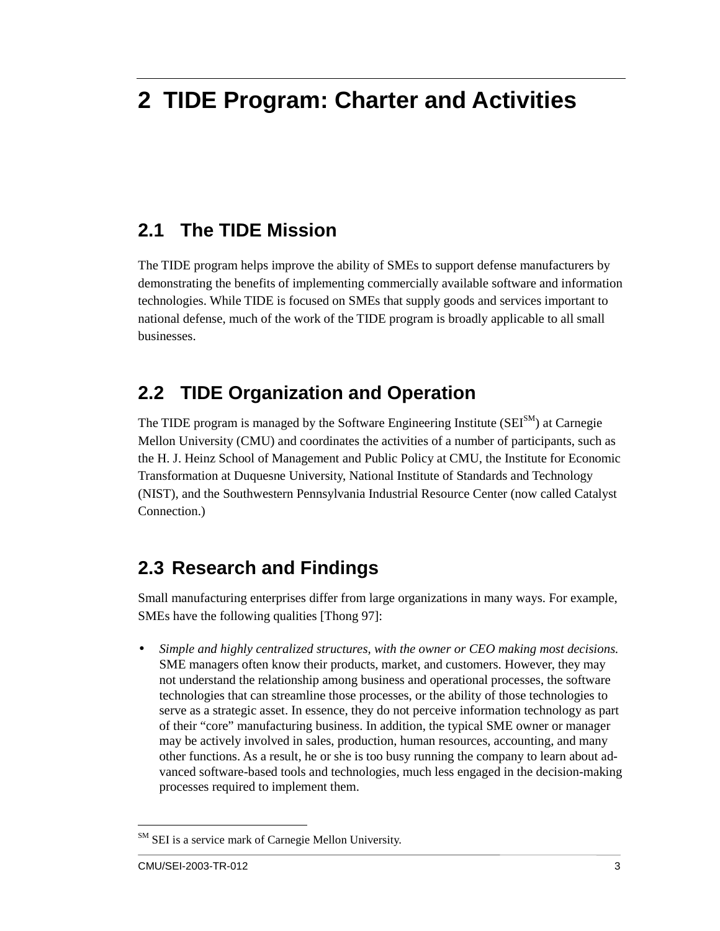# **2 TIDE Program: Charter and Activities**

#### **2.1 The TIDE Mission**

The TIDE program helps improve the ability of SMEs to support defense manufacturers by demonstrating the benefits of implementing commercially available software and information technologies. While TIDE is focused on SMEs that supply goods and services important to national defense, much of the work of the TIDE program is broadly applicable to all small businesses.

### **2.2 TIDE Organization and Operation**

The TIDE program is managed by the Software Engineering Institute (SEI<sup>SM</sup>) at Carnegie Mellon University (CMU) and coordinates the activities of a number of participants, such as the H. J. Heinz School of Management and Public Policy at CMU, the Institute for Economic Transformation at Duquesne University, National Institute of Standards and Technology (NIST), and the Southwestern Pennsylvania Industrial Resource Center (now called Catalyst Connection.)

### **2.3 Research and Findings**

Small manufacturing enterprises differ from large organizations in many ways. For example, SMEs have the following qualities [Thong 97]:

• *Simple and highly centralized structures, with the owner or CEO making most decisions.*  SME managers often know their products, market, and customers. However, they may not understand the relationship among business and operational processes, the software technologies that can streamline those processes, or the ability of those technologies to serve as a strategic asset. In essence, they do not perceive information technology as part of their "core" manufacturing business. In addition, the typical SME owner or manager may be actively involved in sales, production, human resources, accounting, and many other functions. As a result, he or she is too busy running the company to learn about advanced software-based tools and technologies, much less engaged in the decision-making processes required to implement them.

 $\overline{a}$ SM SEI is a service mark of Carnegie Mellon University.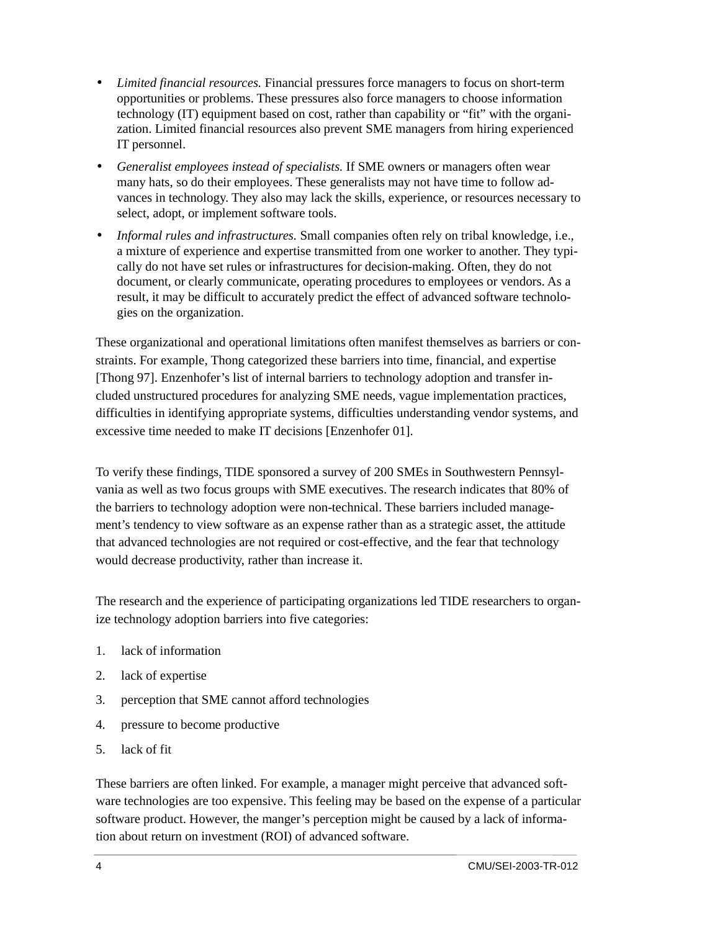- *Limited financial resources.* Financial pressures force managers to focus on short-term opportunities or problems. These pressures also force managers to choose information technology (IT) equipment based on cost, rather than capability or "fit" with the organization. Limited financial resources also prevent SME managers from hiring experienced IT personnel.
- *Generalist employees instead of specialists.* If SME owners or managers often wear many hats, so do their employees. These generalists may not have time to follow advances in technology. They also may lack the skills, experience, or resources necessary to select, adopt, or implement software tools.
- *Informal rules and infrastructures.* Small companies often rely on tribal knowledge, i.e., a mixture of experience and expertise transmitted from one worker to another. They typically do not have set rules or infrastructures for decision-making. Often, they do not document, or clearly communicate, operating procedures to employees or vendors. As a result, it may be difficult to accurately predict the effect of advanced software technologies on the organization.

These organizational and operational limitations often manifest themselves as barriers or constraints. For example, Thong categorized these barriers into time, financial, and expertise [Thong 97]. Enzenhofer's list of internal barriers to technology adoption and transfer included unstructured procedures for analyzing SME needs, vague implementation practices, difficulties in identifying appropriate systems, difficulties understanding vendor systems, and excessive time needed to make IT decisions [Enzenhofer 01].

To verify these findings, TIDE sponsored a survey of 200 SMEs in Southwestern Pennsylvania as well as two focus groups with SME executives. The research indicates that 80% of the barriers to technology adoption were non-technical. These barriers included management's tendency to view software as an expense rather than as a strategic asset, the attitude that advanced technologies are not required or cost-effective, and the fear that technology would decrease productivity, rather than increase it.

The research and the experience of participating organizations led TIDE researchers to organize technology adoption barriers into five categories:

- 1. lack of information
- 2. lack of expertise
- 3. perception that SME cannot afford technologies
- 4. pressure to become productive
- 5. lack of fit

These barriers are often linked. For example, a manager might perceive that advanced software technologies are too expensive. This feeling may be based on the expense of a particular software product. However, the manger's perception might be caused by a lack of information about return on investment (ROI) of advanced software.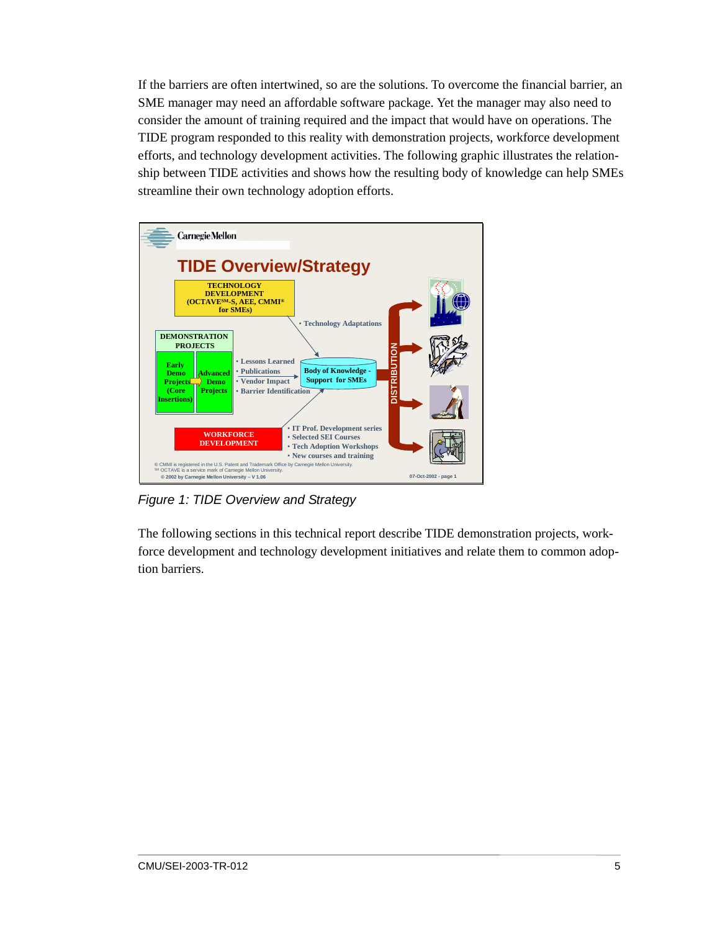If the barriers are often intertwined, so are the solutions. To overcome the financial barrier, an SME manager may need an affordable software package. Yet the manager may also need to consider the amount of training required and the impact that would have on operations. The TIDE program responded to this reality with demonstration projects, workforce development efforts, and technology development activities. The following graphic illustrates the relationship between TIDE activities and shows how the resulting body of knowledge can help SMEs streamline their own technology adoption efforts.



Figure 1: TIDE Overview and Strategy

The following sections in this technical report describe TIDE demonstration projects, workforce development and technology development initiatives and relate them to common adoption barriers.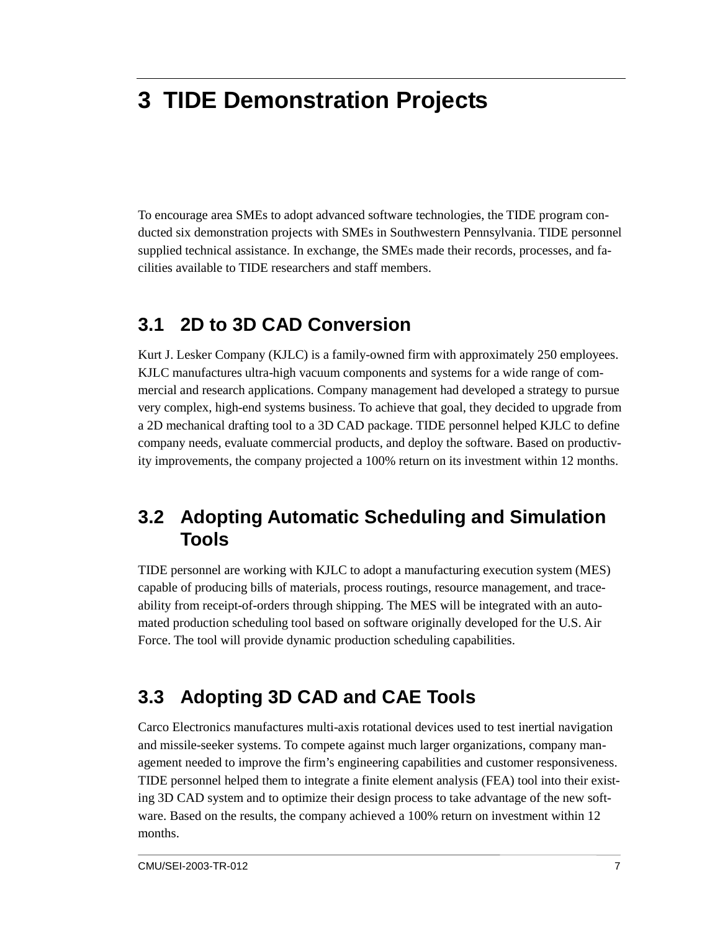# **3 TIDE Demonstration Projects**

To encourage area SMEs to adopt advanced software technologies, the TIDE program conducted six demonstration projects with SMEs in Southwestern Pennsylvania. TIDE personnel supplied technical assistance. In exchange, the SMEs made their records, processes, and facilities available to TIDE researchers and staff members.

#### **3.1 2D to 3D CAD Conversion**

Kurt J. Lesker Company (KJLC) is a family-owned firm with approximately 250 employees. KJLC manufactures ultra-high vacuum components and systems for a wide range of commercial and research applications. Company management had developed a strategy to pursue very complex, high-end systems business. To achieve that goal, they decided to upgrade from a 2D mechanical drafting tool to a 3D CAD package. TIDE personnel helped KJLC to define company needs, evaluate commercial products, and deploy the software. Based on productivity improvements, the company projected a 100% return on its investment within 12 months.

#### **3.2 Adopting Automatic Scheduling and Simulation Tools**

TIDE personnel are working with KJLC to adopt a manufacturing execution system (MES) capable of producing bills of materials, process routings, resource management, and traceability from receipt-of-orders through shipping. The MES will be integrated with an automated production scheduling tool based on software originally developed for the U.S. Air Force. The tool will provide dynamic production scheduling capabilities.

### **3.3 Adopting 3D CAD and CAE Tools**

Carco Electronics manufactures multi-axis rotational devices used to test inertial navigation and missile-seeker systems. To compete against much larger organizations, company management needed to improve the firm's engineering capabilities and customer responsiveness. TIDE personnel helped them to integrate a finite element analysis (FEA) tool into their existing 3D CAD system and to optimize their design process to take advantage of the new software. Based on the results, the company achieved a 100% return on investment within 12 months.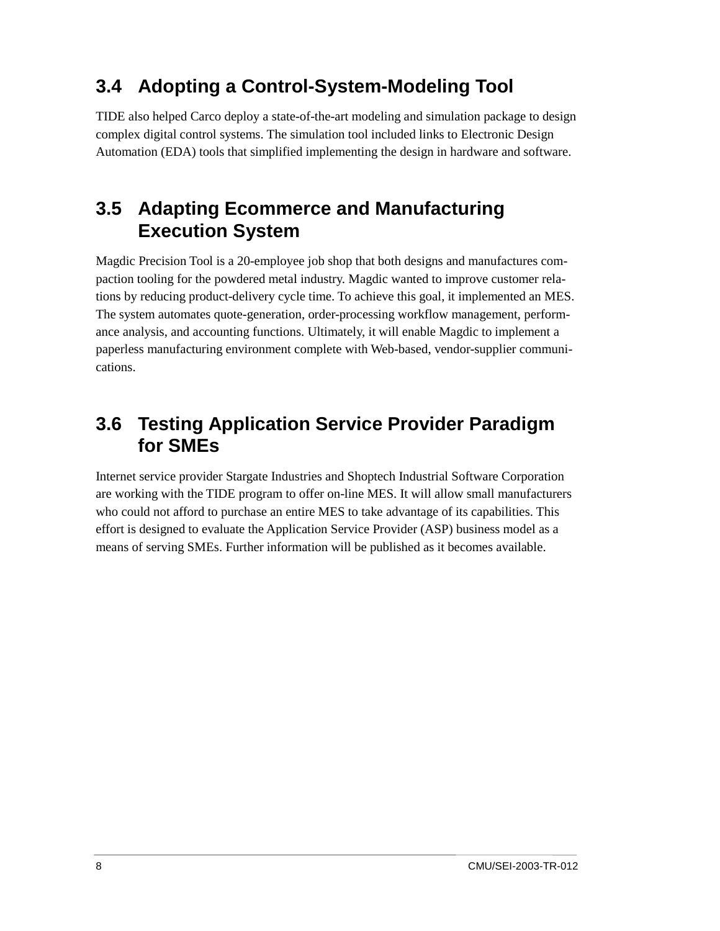### **3.4 Adopting a Control-System-Modeling Tool**

TIDE also helped Carco deploy a state-of-the-art modeling and simulation package to design complex digital control systems. The simulation tool included links to Electronic Design Automation (EDA) tools that simplified implementing the design in hardware and software.

### **3.5 Adapting Ecommerce and Manufacturing Execution System**

Magdic Precision Tool is a 20-employee job shop that both designs and manufactures compaction tooling for the powdered metal industry. Magdic wanted to improve customer relations by reducing product-delivery cycle time. To achieve this goal, it implemented an MES. The system automates quote-generation, order-processing workflow management, performance analysis, and accounting functions. Ultimately, it will enable Magdic to implement a paperless manufacturing environment complete with Web-based, vendor-supplier communications.

#### **3.6 Testing Application Service Provider Paradigm for SMEs**

Internet service provider Stargate Industries and Shoptech Industrial Software Corporation are working with the TIDE program to offer on-line MES. It will allow small manufacturers who could not afford to purchase an entire MES to take advantage of its capabilities. This effort is designed to evaluate the Application Service Provider (ASP) business model as a means of serving SMEs. Further information will be published as it becomes available.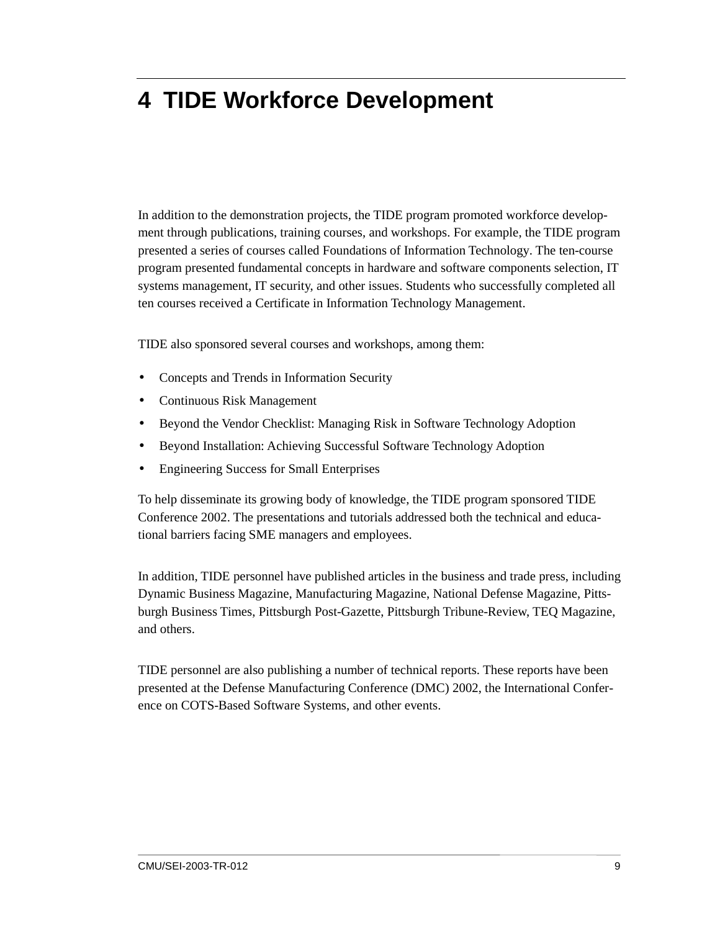# **4 TIDE Workforce Development**

In addition to the demonstration projects, the TIDE program promoted workforce development through publications, training courses, and workshops. For example, the TIDE program presented a series of courses called Foundations of Information Technology. The ten-course program presented fundamental concepts in hardware and software components selection, IT systems management, IT security, and other issues. Students who successfully completed all ten courses received a Certificate in Information Technology Management.

TIDE also sponsored several courses and workshops, among them:

- Concepts and Trends in Information Security
- Continuous Risk Management
- Beyond the Vendor Checklist: Managing Risk in Software Technology Adoption
- Beyond Installation: Achieving Successful Software Technology Adoption
- Engineering Success for Small Enterprises

To help disseminate its growing body of knowledge, the TIDE program sponsored TIDE Conference 2002. The presentations and tutorials addressed both the technical and educational barriers facing SME managers and employees.

In addition, TIDE personnel have published articles in the business and trade press, including Dynamic Business Magazine, Manufacturing Magazine, National Defense Magazine, Pittsburgh Business Times, Pittsburgh Post-Gazette, Pittsburgh Tribune-Review, TEQ Magazine, and others.

TIDE personnel are also publishing a number of technical reports. These reports have been presented at the Defense Manufacturing Conference (DMC) 2002, the International Conference on COTS-Based Software Systems, and other events.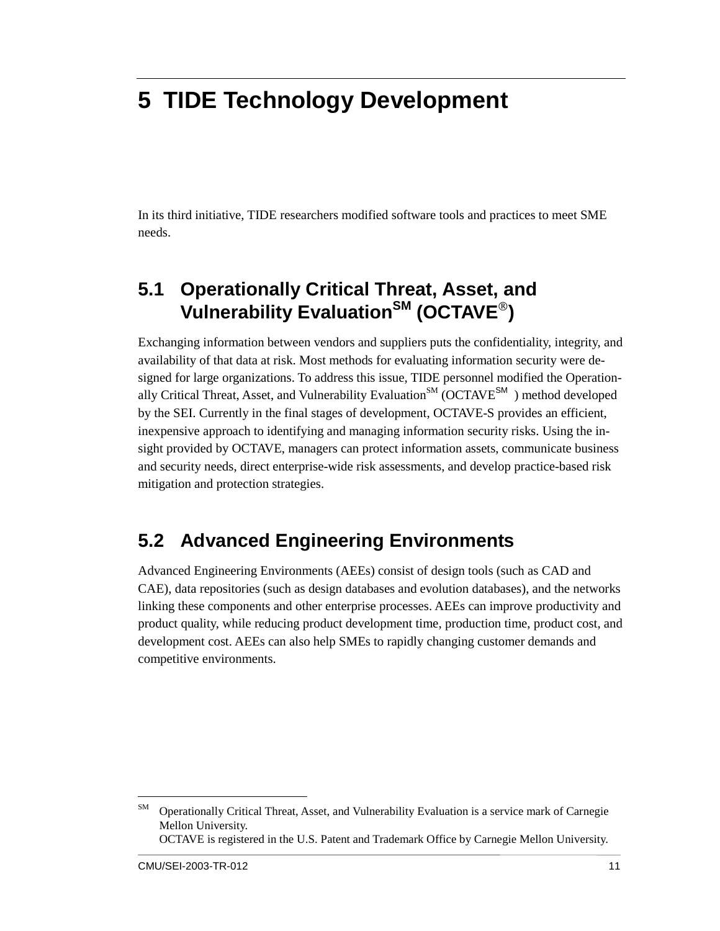# **5 TIDE Technology Development**

In its third initiative, TIDE researchers modified software tools and practices to meet SME needs.

#### **5.1 Operationally Critical Threat, Asset, and Vulnerability EvaluationSM (OCTAVE)**

Exchanging information between vendors and suppliers puts the confidentiality, integrity, and availability of that data at risk. Most methods for evaluating information security were designed for large organizations. To address this issue, TIDE personnel modified the Operationally Critical Threat, Asset, and Vulnerability Evaluation<sup>SM</sup> (OCTAVE<sup>SM®</sup>) method developed by the SEI. Currently in the final stages of development, OCTAVE-S provides an efficient, inexpensive approach to identifying and managing information security risks. Using the insight provided by OCTAVE, managers can protect information assets, communicate business and security needs, direct enterprise-wide risk assessments, and develop practice-based risk mitigation and protection strategies.

#### **5.2 Advanced Engineering Environments**

Advanced Engineering Environments (AEEs) consist of design tools (such as CAD and CAE), data repositories (such as design databases and evolution databases), and the networks linking these components and other enterprise processes. AEEs can improve productivity and product quality, while reducing product development time, production time, product cost, and development cost. AEEs can also help SMEs to rapidly changing customer demands and competitive environments.

SM Operationally Critical Threat, Asset, and Vulnerability Evaluation is a service mark of Carnegie Mellon University.<br>
<sup>®</sup> OCTAVE is registered in the U.S. Patent and Trademark Office by Carnegie Mellon University.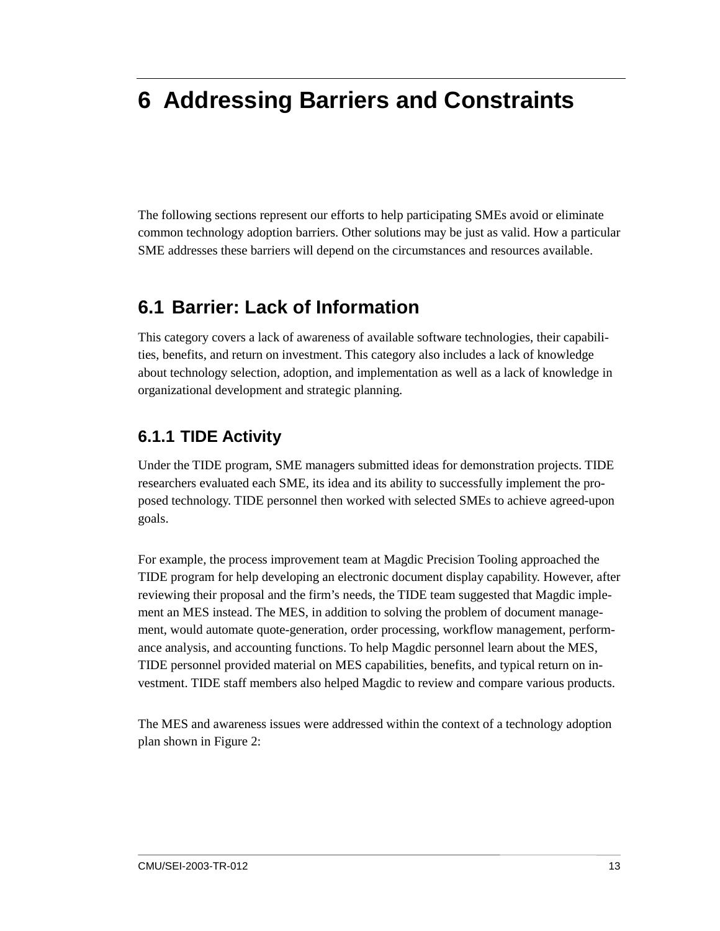# **6 Addressing Barriers and Constraints**

The following sections represent our efforts to help participating SMEs avoid or eliminate common technology adoption barriers. Other solutions may be just as valid. How a particular SME addresses these barriers will depend on the circumstances and resources available.

#### **6.1 Barrier: Lack of Information**

This category covers a lack of awareness of available software technologies, their capabilities, benefits, and return on investment. This category also includes a lack of knowledge about technology selection, adoption, and implementation as well as a lack of knowledge in organizational development and strategic planning.

#### **6.1.1 TIDE Activity**

Under the TIDE program, SME managers submitted ideas for demonstration projects. TIDE researchers evaluated each SME, its idea and its ability to successfully implement the proposed technology. TIDE personnel then worked with selected SMEs to achieve agreed-upon goals.

For example, the process improvement team at Magdic Precision Tooling approached the TIDE program for help developing an electronic document display capability. However, after reviewing their proposal and the firm's needs, the TIDE team suggested that Magdic implement an MES instead. The MES, in addition to solving the problem of document management, would automate quote-generation, order processing, workflow management, performance analysis, and accounting functions. To help Magdic personnel learn about the MES, TIDE personnel provided material on MES capabilities, benefits, and typical return on investment. TIDE staff members also helped Magdic to review and compare various products.

The MES and awareness issues were addressed within the context of a technology adoption plan shown in Figure 2: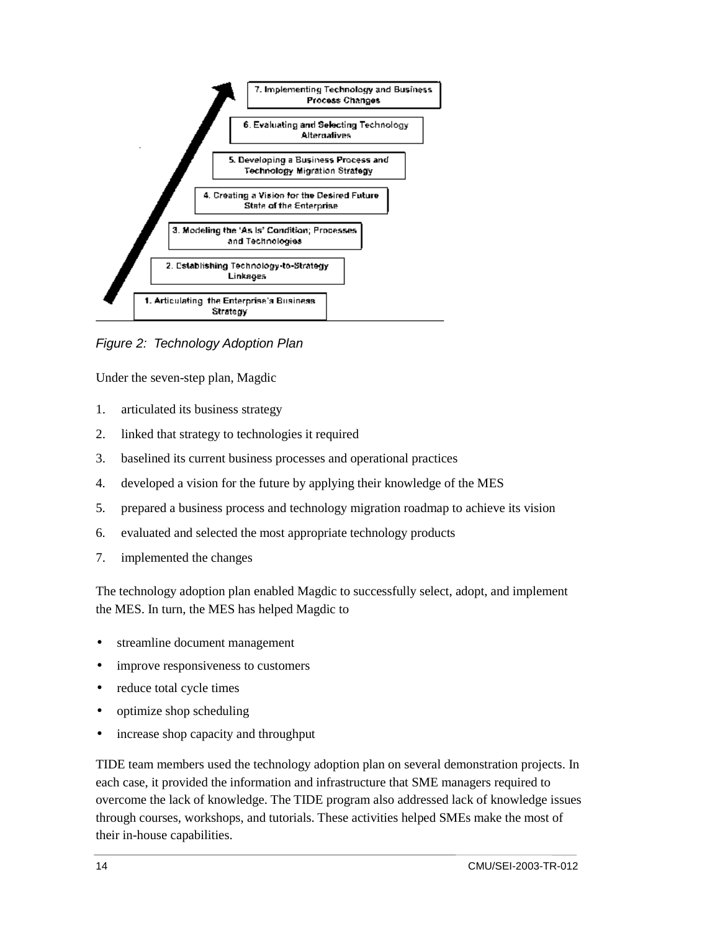

Figure 2: Technology Adoption Plan

Under the seven-step plan, Magdic

- 1. articulated its business strategy
- 2. linked that strategy to technologies it required
- 3. baselined its current business processes and operational practices
- 4. developed a vision for the future by applying their knowledge of the MES
- 5. prepared a business process and technology migration roadmap to achieve its vision
- 6. evaluated and selected the most appropriate technology products
- 7. implemented the changes

The technology adoption plan enabled Magdic to successfully select, adopt, and implement the MES. In turn, the MES has helped Magdic to

- streamline document management
- improve responsiveness to customers
- reduce total cycle times
- optimize shop scheduling
- increase shop capacity and throughput

TIDE team members used the technology adoption plan on several demonstration projects. In each case, it provided the information and infrastructure that SME managers required to overcome the lack of knowledge. The TIDE program also addressed lack of knowledge issues through courses, workshops, and tutorials. These activities helped SMEs make the most of their in-house capabilities.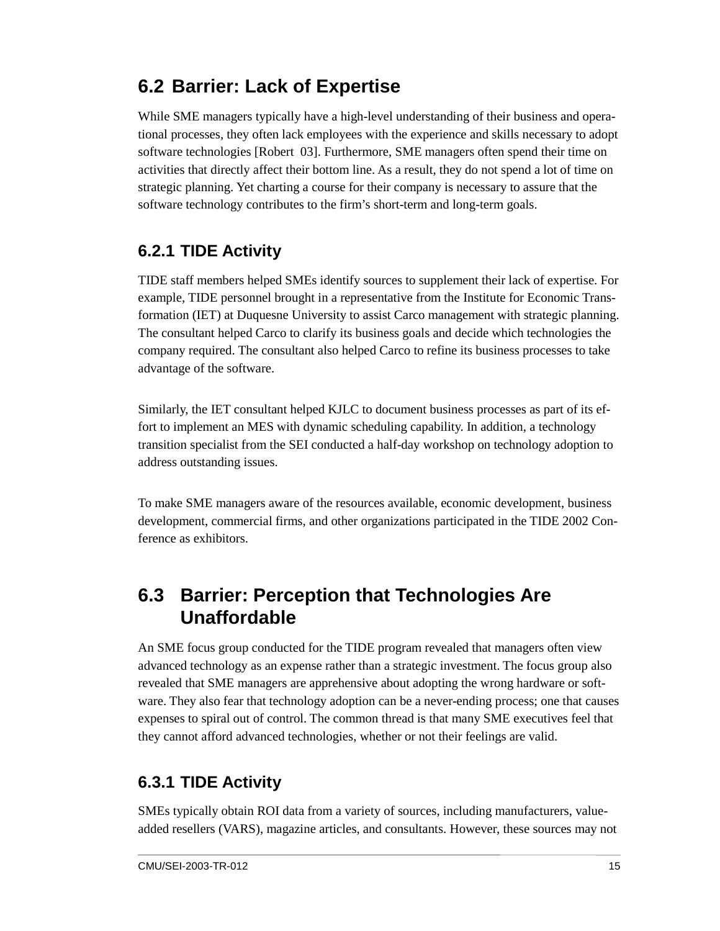### **6.2 Barrier: Lack of Expertise**

While SME managers typically have a high-level understanding of their business and operational processes, they often lack employees with the experience and skills necessary to adopt software technologies [Robert 03]. Furthermore, SME managers often spend their time on activities that directly affect their bottom line. As a result, they do not spend a lot of time on strategic planning. Yet charting a course for their company is necessary to assure that the software technology contributes to the firm's short-term and long-term goals.

#### **6.2.1 TIDE Activity**

TIDE staff members helped SMEs identify sources to supplement their lack of expertise. For example, TIDE personnel brought in a representative from the Institute for Economic Transformation (IET) at Duquesne University to assist Carco management with strategic planning. The consultant helped Carco to clarify its business goals and decide which technologies the company required. The consultant also helped Carco to refine its business processes to take advantage of the software.

Similarly, the IET consultant helped KJLC to document business processes as part of its effort to implement an MES with dynamic scheduling capability. In addition, a technology transition specialist from the SEI conducted a half-day workshop on technology adoption to address outstanding issues.

To make SME managers aware of the resources available, economic development, business development, commercial firms, and other organizations participated in the TIDE 2002 Conference as exhibitors.

### **6.3 Barrier: Perception that Technologies Are Unaffordable**

An SME focus group conducted for the TIDE program revealed that managers often view advanced technology as an expense rather than a strategic investment. The focus group also revealed that SME managers are apprehensive about adopting the wrong hardware or software. They also fear that technology adoption can be a never-ending process; one that causes expenses to spiral out of control. The common thread is that many SME executives feel that they cannot afford advanced technologies, whether or not their feelings are valid.

#### **6.3.1 TIDE Activity**

SMEs typically obtain ROI data from a variety of sources, including manufacturers, valueadded resellers (VARS), magazine articles, and consultants. However, these sources may not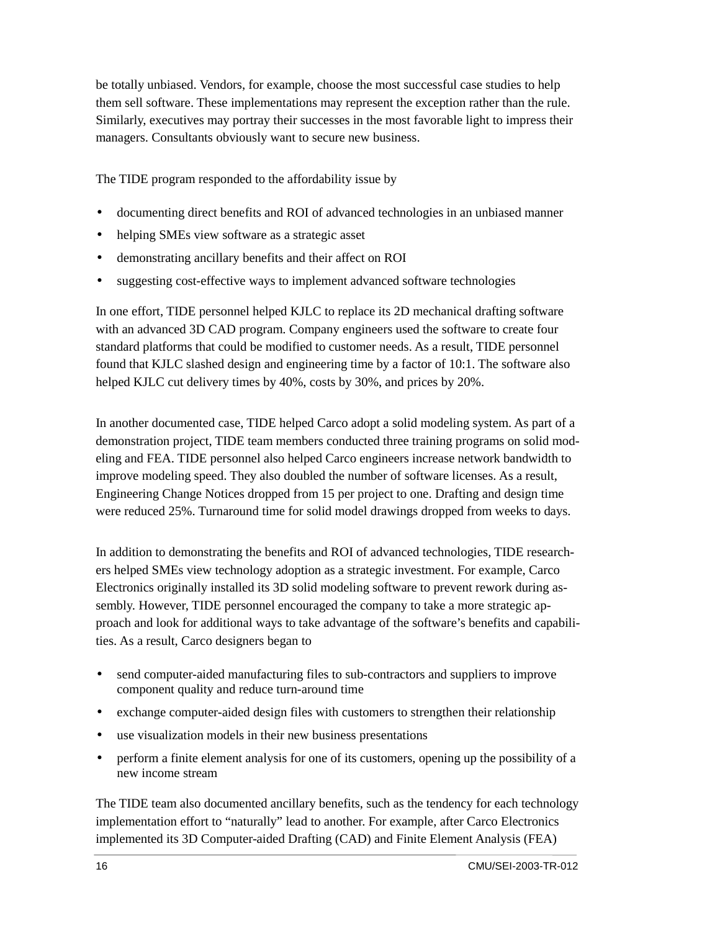be totally unbiased. Vendors, for example, choose the most successful case studies to help them sell software. These implementations may represent the exception rather than the rule. Similarly, executives may portray their successes in the most favorable light to impress their managers. Consultants obviously want to secure new business.

The TIDE program responded to the affordability issue by

- documenting direct benefits and ROI of advanced technologies in an unbiased manner
- helping SMEs view software as a strategic asset
- demonstrating ancillary benefits and their affect on ROI
- suggesting cost-effective ways to implement advanced software technologies

In one effort, TIDE personnel helped KJLC to replace its 2D mechanical drafting software with an advanced 3D CAD program. Company engineers used the software to create four standard platforms that could be modified to customer needs. As a result, TIDE personnel found that KJLC slashed design and engineering time by a factor of 10:1. The software also helped KJLC cut delivery times by 40%, costs by 30%, and prices by 20%.

In another documented case, TIDE helped Carco adopt a solid modeling system. As part of a demonstration project, TIDE team members conducted three training programs on solid modeling and FEA. TIDE personnel also helped Carco engineers increase network bandwidth to improve modeling speed. They also doubled the number of software licenses. As a result, Engineering Change Notices dropped from 15 per project to one. Drafting and design time were reduced 25%. Turnaround time for solid model drawings dropped from weeks to days.

In addition to demonstrating the benefits and ROI of advanced technologies, TIDE researchers helped SMEs view technology adoption as a strategic investment. For example, Carco Electronics originally installed its 3D solid modeling software to prevent rework during assembly. However, TIDE personnel encouraged the company to take a more strategic approach and look for additional ways to take advantage of the software's benefits and capabilities. As a result, Carco designers began to

- send computer-aided manufacturing files to sub-contractors and suppliers to improve component quality and reduce turn-around time
- exchange computer-aided design files with customers to strengthen their relationship
- use visualization models in their new business presentations
- perform a finite element analysis for one of its customers, opening up the possibility of a new income stream

The TIDE team also documented ancillary benefits, such as the tendency for each technology implementation effort to "naturally" lead to another. For example, after Carco Electronics implemented its 3D Computer-aided Drafting (CAD) and Finite Element Analysis (FEA)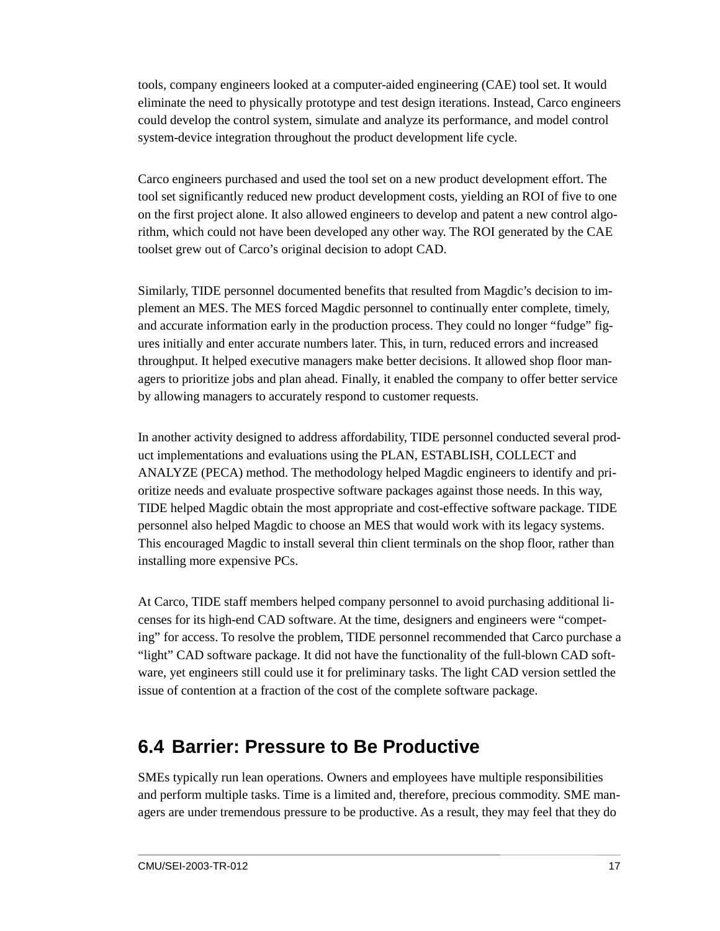tools, company engineers looked at a computer-aided engineering (CAE) tool set. It would eliminate the need to physically prototype and test design iterations. Instead, Carco engineers could develop the control system, simulate and analyze its performance, and model control system-device integration throughout the product development life cycle.

Carco engineers purchased and used the tool set on a new product development effort. The tool set significantly reduced new product development costs, yielding an ROI of five to one on the first project alone. It also allowed engineers to develop and patent a new control algorithm, which could not have been developed any other way. The ROI generated by the CAE toolset grew out of Carco's original decision to adopt CAD.

Similarly, TIDE personnel documented benefits that resulted from Magdic's decision to implement an MES. The MES forced Magdic personnel to continually enter complete, timely, and accurate information early in the production process. They could no longer "fudge" figures initially and enter accurate numbers later. This, in turn, reduced errors and increased throughput. It helped executive managers make better decisions. It allowed shop floor managers to prioritize jobs and plan ahead. Finally, it enabled the company to offer better service by allowing managers to accurately respond to customer requests.

In another activity designed to address affordability, TIDE personnel conducted several product implementations and evaluations using the PLAN, ESTABLISH, COLLECT and ANALYZE (PECA) method. The methodology helped Magdic engineers to identify and prioritize needs and evaluate prospective software packages against those needs. In this way, TIDE helped Magdic obtain the most appropriate and cost-effective software package. TIDE personnel also helped Magdic to choose an MES that would work with its legacy systems. This encouraged Magdic to install several thin client terminals on the shop floor, rather than installing more expensive PCs.

At Carco, TIDE staff members helped company personnel to avoid purchasing additional licenses for its high-end CAD software. At the time, designers and engineers were "competing" for access. To resolve the problem, TIDE personnel recommended that Carco purchase a "light" CAD software package. It did not have the functionality of the full-blown CAD software, yet engineers still could use it for preliminary tasks. The light CAD version settled the issue of contention at a fraction of the cost of the complete software package.

#### **6.4 Barrier: Pressure to Be Productive**

SMEs typically run lean operations. Owners and employees have multiple responsibilities and perform multiple tasks. Time is a limited and, therefore, precious commodity. SME managers are under tremendous pressure to be productive. As a result, they may feel that they do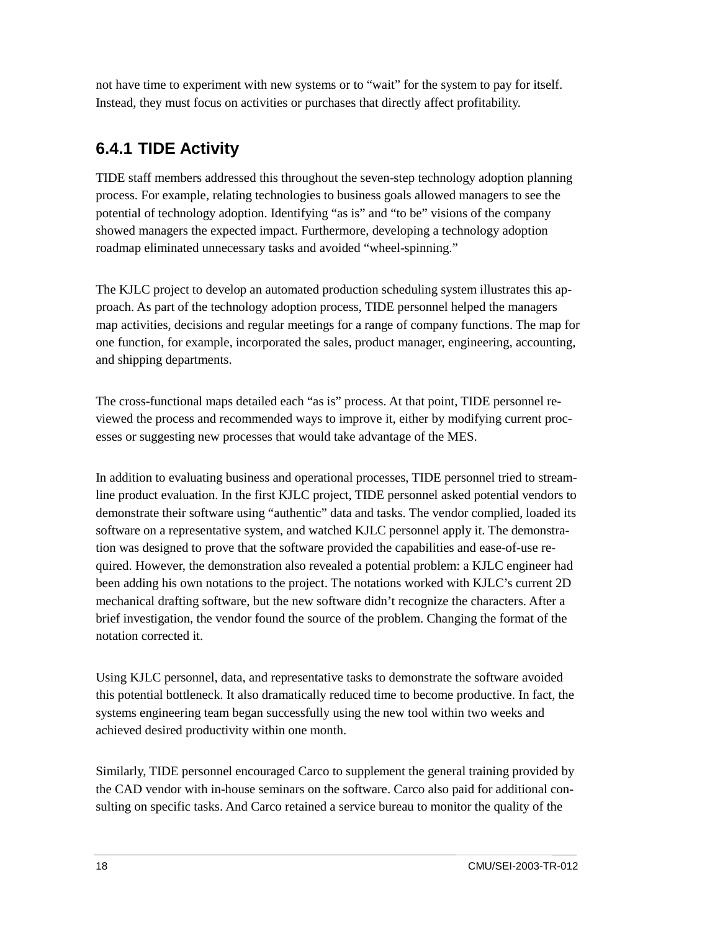not have time to experiment with new systems or to "wait" for the system to pay for itself. Instead, they must focus on activities or purchases that directly affect profitability.

#### **6.4.1 TIDE Activity**

TIDE staff members addressed this throughout the seven-step technology adoption planning process. For example, relating technologies to business goals allowed managers to see the potential of technology adoption. Identifying "as is" and "to be" visions of the company showed managers the expected impact. Furthermore, developing a technology adoption roadmap eliminated unnecessary tasks and avoided "wheel-spinning."

The KJLC project to develop an automated production scheduling system illustrates this approach. As part of the technology adoption process, TIDE personnel helped the managers map activities, decisions and regular meetings for a range of company functions. The map for one function, for example, incorporated the sales, product manager, engineering, accounting, and shipping departments.

The cross-functional maps detailed each "as is" process. At that point, TIDE personnel reviewed the process and recommended ways to improve it, either by modifying current processes or suggesting new processes that would take advantage of the MES.

In addition to evaluating business and operational processes, TIDE personnel tried to streamline product evaluation. In the first KJLC project, TIDE personnel asked potential vendors to demonstrate their software using "authentic" data and tasks. The vendor complied, loaded its software on a representative system, and watched KJLC personnel apply it. The demonstration was designed to prove that the software provided the capabilities and ease-of-use required. However, the demonstration also revealed a potential problem: a KJLC engineer had been adding his own notations to the project. The notations worked with KJLC's current 2D mechanical drafting software, but the new software didn't recognize the characters. After a brief investigation, the vendor found the source of the problem. Changing the format of the notation corrected it.

Using KJLC personnel, data, and representative tasks to demonstrate the software avoided this potential bottleneck. It also dramatically reduced time to become productive. In fact, the systems engineering team began successfully using the new tool within two weeks and achieved desired productivity within one month.

Similarly, TIDE personnel encouraged Carco to supplement the general training provided by the CAD vendor with in-house seminars on the software. Carco also paid for additional consulting on specific tasks. And Carco retained a service bureau to monitor the quality of the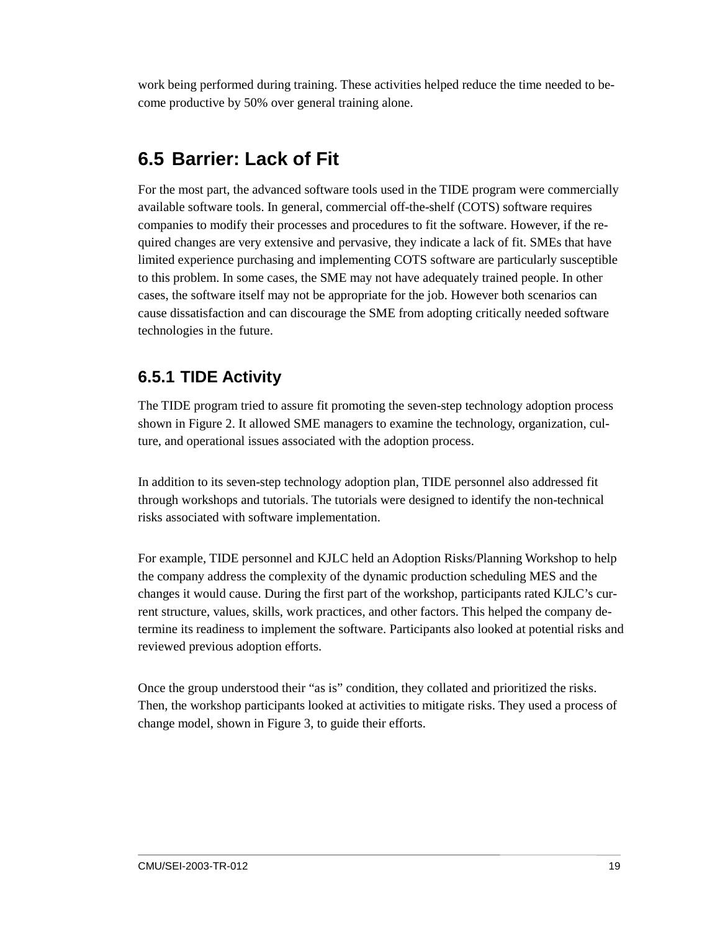work being performed during training. These activities helped reduce the time needed to become productive by 50% over general training alone.

### **6.5 Barrier: Lack of Fit**

For the most part, the advanced software tools used in the TIDE program were commercially available software tools. In general, commercial off-the-shelf (COTS) software requires companies to modify their processes and procedures to fit the software. However, if the required changes are very extensive and pervasive, they indicate a lack of fit. SMEs that have limited experience purchasing and implementing COTS software are particularly susceptible to this problem. In some cases, the SME may not have adequately trained people. In other cases, the software itself may not be appropriate for the job. However both scenarios can cause dissatisfaction and can discourage the SME from adopting critically needed software technologies in the future.

#### **6.5.1 TIDE Activity**

The TIDE program tried to assure fit promoting the seven-step technology adoption process shown in Figure 2. It allowed SME managers to examine the technology, organization, culture, and operational issues associated with the adoption process.

In addition to its seven-step technology adoption plan, TIDE personnel also addressed fit through workshops and tutorials. The tutorials were designed to identify the non-technical risks associated with software implementation.

For example, TIDE personnel and KJLC held an Adoption Risks/Planning Workshop to help the company address the complexity of the dynamic production scheduling MES and the changes it would cause. During the first part of the workshop, participants rated KJLC's current structure, values, skills, work practices, and other factors. This helped the company determine its readiness to implement the software. Participants also looked at potential risks and reviewed previous adoption efforts.

Once the group understood their "as is" condition, they collated and prioritized the risks. Then, the workshop participants looked at activities to mitigate risks. They used a process of change model, shown in Figure 3, to guide their efforts.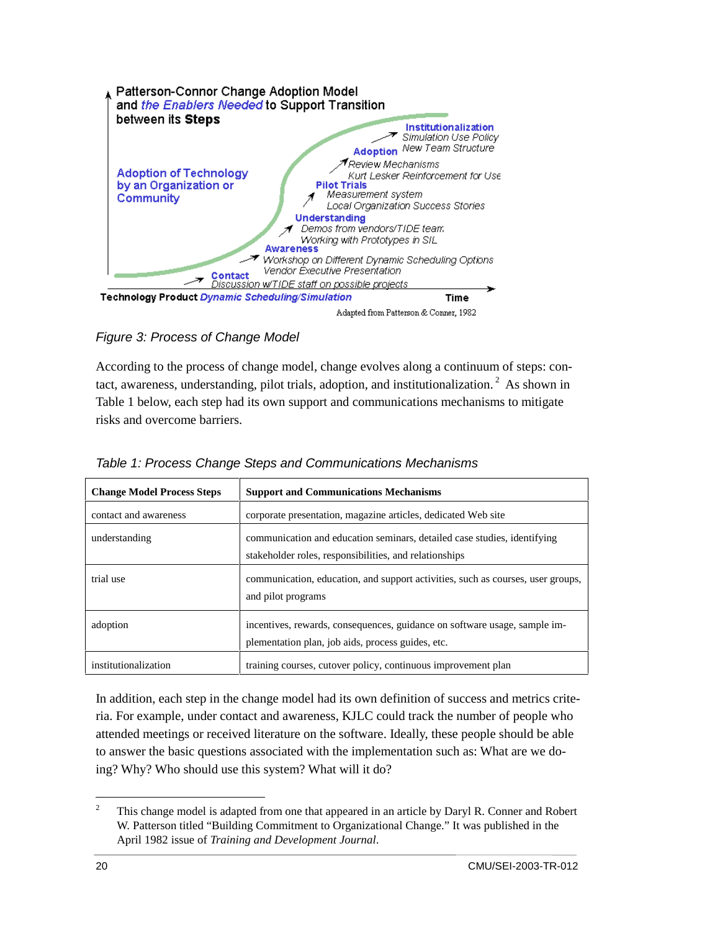

Figure 3: Process of Change Model

According to the process of change model, change evolves along a continuum of steps: contact, awareness, understanding, pilot trials, adoption, and institutionalization.<sup>2</sup> As shown in Table 1 below, each step had its own support and communications mechanisms to mitigate risks and overcome barriers.

| <b>Change Model Process Steps</b> | <b>Support and Communications Mechanisms</b>                                                                                       |
|-----------------------------------|------------------------------------------------------------------------------------------------------------------------------------|
| contact and awareness             | corporate presentation, magazine articles, dedicated Web site                                                                      |
| understanding                     | communication and education seminars, detailed case studies, identifying<br>stakeholder roles, responsibilities, and relationships |
| trial use                         | communication, education, and support activities, such as courses, user groups,<br>and pilot programs                              |
| adoption                          | incentives, rewards, consequences, guidance on software usage, sample im-<br>plementation plan, job aids, process guides, etc.     |
| institutionalization              | training courses, cutover policy, continuous improvement plan                                                                      |

Table 1: Process Change Steps and Communications Mechanisms

In addition, each step in the change model had its own definition of success and metrics criteria. For example, under contact and awareness, KJLC could track the number of people who attended meetings or received literature on the software. Ideally, these people should be able to answer the basic questions associated with the implementation such as: What are we doing? Why? Who should use this system? What will it do?

 $\frac{1}{2}$  This change model is adapted from one that appeared in an article by Daryl R. Conner and Robert W. Patterson titled "Building Commitment to Organizational Change." It was published in the April 1982 issue of *Training and Development Journal*.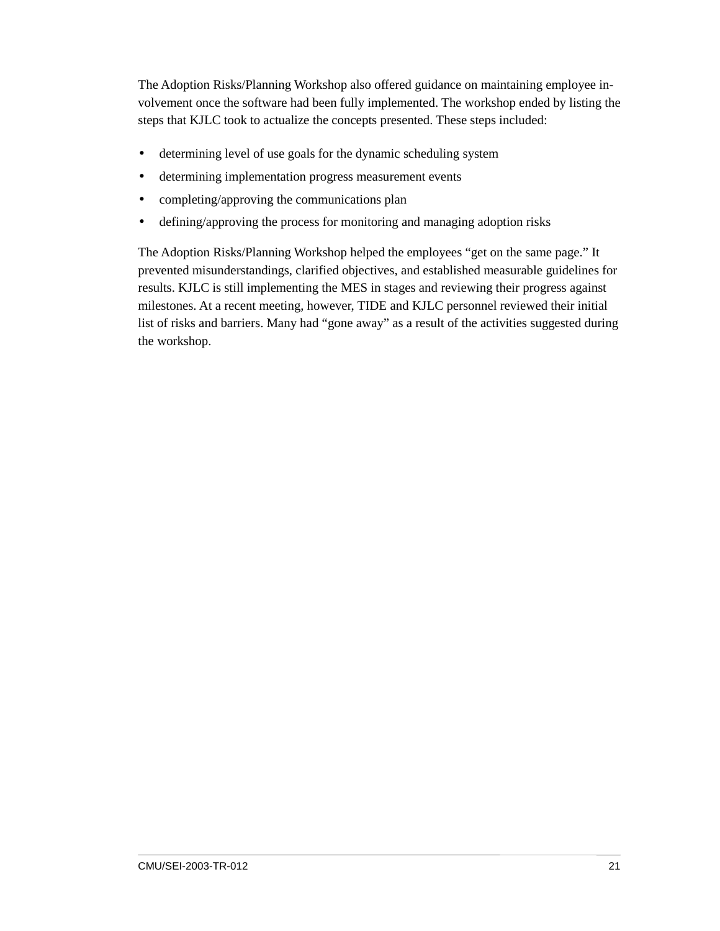The Adoption Risks/Planning Workshop also offered guidance on maintaining employee involvement once the software had been fully implemented. The workshop ended by listing the steps that KJLC took to actualize the concepts presented. These steps included:

- determining level of use goals for the dynamic scheduling system
- determining implementation progress measurement events
- completing/approving the communications plan
- defining/approving the process for monitoring and managing adoption risks

The Adoption Risks/Planning Workshop helped the employees "get on the same page." It prevented misunderstandings, clarified objectives, and established measurable guidelines for results. KJLC is still implementing the MES in stages and reviewing their progress against milestones. At a recent meeting, however, TIDE and KJLC personnel reviewed their initial list of risks and barriers. Many had "gone away" as a result of the activities suggested during the workshop.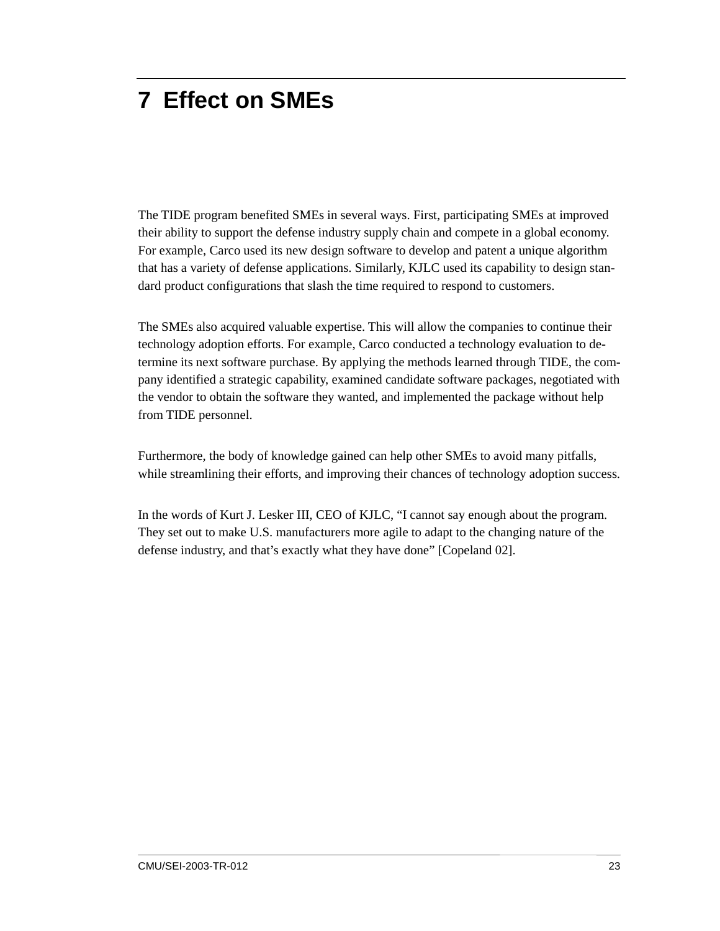# **7 Effect on SMEs**

The TIDE program benefited SMEs in several ways. First, participating SMEs at improved their ability to support the defense industry supply chain and compete in a global economy. For example, Carco used its new design software to develop and patent a unique algorithm that has a variety of defense applications. Similarly, KJLC used its capability to design standard product configurations that slash the time required to respond to customers.

The SMEs also acquired valuable expertise. This will allow the companies to continue their technology adoption efforts. For example, Carco conducted a technology evaluation to determine its next software purchase. By applying the methods learned through TIDE, the company identified a strategic capability, examined candidate software packages, negotiated with the vendor to obtain the software they wanted, and implemented the package without help from TIDE personnel.

Furthermore, the body of knowledge gained can help other SMEs to avoid many pitfalls, while streamlining their efforts, and improving their chances of technology adoption success.

In the words of Kurt J. Lesker III, CEO of KJLC, "I cannot say enough about the program. They set out to make U.S. manufacturers more agile to adapt to the changing nature of the defense industry, and that's exactly what they have done" [Copeland 02].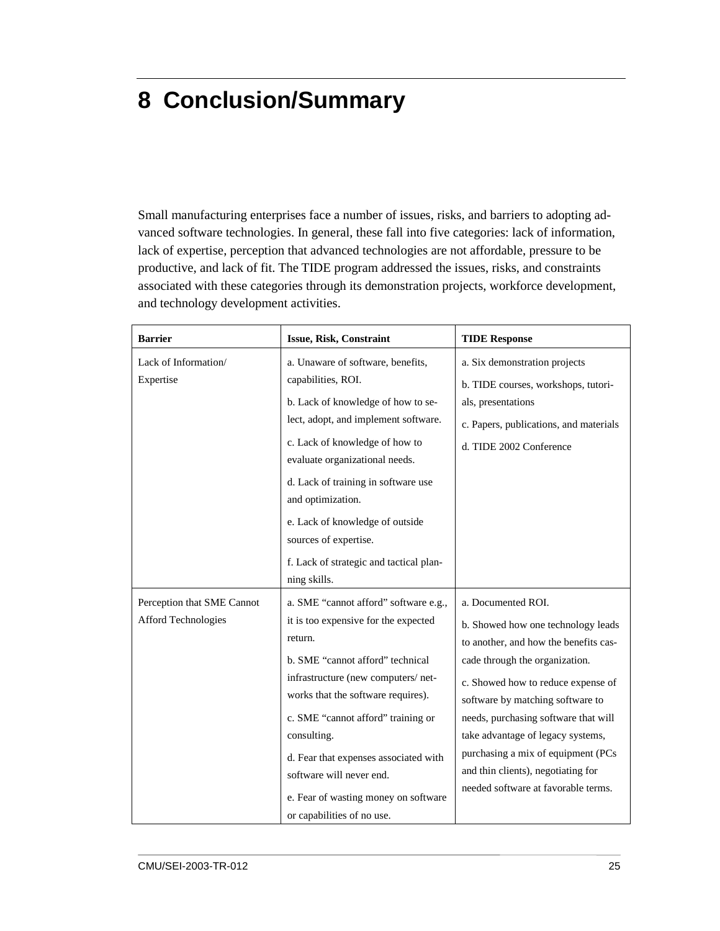# **8 Conclusion/Summary**

Small manufacturing enterprises face a number of issues, risks, and barriers to adopting advanced software technologies. In general, these fall into five categories: lack of information, lack of expertise, perception that advanced technologies are not affordable, pressure to be productive, and lack of fit. The TIDE program addressed the issues, risks, and constraints associated with these categories through its demonstration projects, workforce development, and technology development activities.

| <b>Barrier</b>                                           | Issue, Risk, Constraint                                                                                                                                                                                                                                                                                                                                                                                  | <b>TIDE Response</b>                                                                                                                                                                                                                                                                                                                                                                                          |  |  |
|----------------------------------------------------------|----------------------------------------------------------------------------------------------------------------------------------------------------------------------------------------------------------------------------------------------------------------------------------------------------------------------------------------------------------------------------------------------------------|---------------------------------------------------------------------------------------------------------------------------------------------------------------------------------------------------------------------------------------------------------------------------------------------------------------------------------------------------------------------------------------------------------------|--|--|
| Lack of Information/<br>Expertise                        | a. Unaware of software, benefits,<br>capabilities, ROI.<br>b. Lack of knowledge of how to se-<br>lect, adopt, and implement software.<br>c. Lack of knowledge of how to<br>evaluate organizational needs.<br>d. Lack of training in software use<br>and optimization.<br>e. Lack of knowledge of outside<br>sources of expertise.<br>f. Lack of strategic and tactical plan-<br>ning skills.             | a. Six demonstration projects<br>b. TIDE courses, workshops, tutori-<br>als, presentations<br>c. Papers, publications, and materials<br>d. TIDE 2002 Conference                                                                                                                                                                                                                                               |  |  |
| Perception that SME Cannot<br><b>Afford Technologies</b> | a. SME "cannot afford" software e.g.,<br>it is too expensive for the expected<br>return.<br>b. SME "cannot afford" technical<br>infrastructure (new computers/net-<br>works that the software requires).<br>c. SME "cannot afford" training or<br>consulting.<br>d. Fear that expenses associated with<br>software will never end.<br>e. Fear of wasting money on software<br>or capabilities of no use. | a. Documented ROI.<br>b. Showed how one technology leads<br>to another, and how the benefits cas-<br>cade through the organization.<br>c. Showed how to reduce expense of<br>software by matching software to<br>needs, purchasing software that will<br>take advantage of legacy systems,<br>purchasing a mix of equipment (PCs<br>and thin clients), negotiating for<br>needed software at favorable terms. |  |  |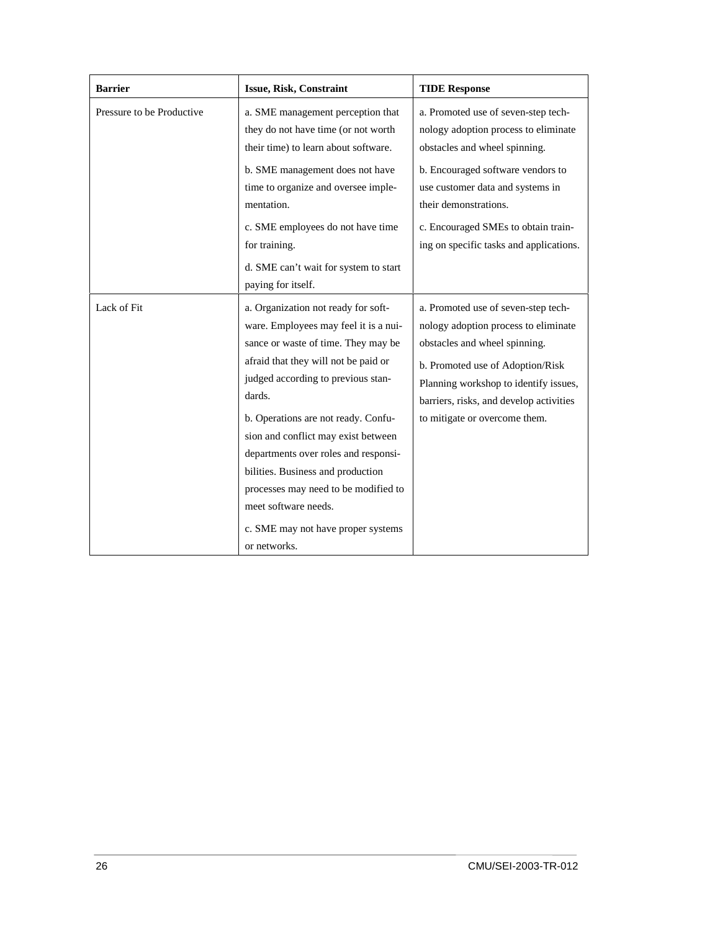| <b>Barrier</b>            | <b>Issue, Risk, Constraint</b>                                                                                                                                                                                                                                                                                                                                                                                                                                                               | <b>TIDE Response</b>                                                                                                                                                                                                                                                                             |  |  |
|---------------------------|----------------------------------------------------------------------------------------------------------------------------------------------------------------------------------------------------------------------------------------------------------------------------------------------------------------------------------------------------------------------------------------------------------------------------------------------------------------------------------------------|--------------------------------------------------------------------------------------------------------------------------------------------------------------------------------------------------------------------------------------------------------------------------------------------------|--|--|
| Pressure to be Productive | a. SME management perception that<br>they do not have time (or not worth<br>their time) to learn about software.<br>b. SME management does not have<br>time to organize and oversee imple-<br>mentation.<br>c. SME employees do not have time<br>for training.<br>d. SME can't wait for system to start<br>paying for itself.                                                                                                                                                                | a. Promoted use of seven-step tech-<br>nology adoption process to eliminate<br>obstacles and wheel spinning.<br>b. Encouraged software vendors to<br>use customer data and systems in<br>their demonstrations.<br>c. Encouraged SMEs to obtain train-<br>ing on specific tasks and applications. |  |  |
| Lack of Fit               | a. Organization not ready for soft-<br>ware. Employees may feel it is a nui-<br>sance or waste of time. They may be<br>afraid that they will not be paid or<br>judged according to previous stan-<br>dards.<br>b. Operations are not ready. Confu-<br>sion and conflict may exist between<br>departments over roles and responsi-<br>bilities. Business and production<br>processes may need to be modified to<br>meet software needs.<br>c. SME may not have proper systems<br>or networks. | a. Promoted use of seven-step tech-<br>nology adoption process to eliminate<br>obstacles and wheel spinning.<br>b. Promoted use of Adoption/Risk<br>Planning workshop to identify issues,<br>barriers, risks, and develop activities<br>to mitigate or overcome them.                            |  |  |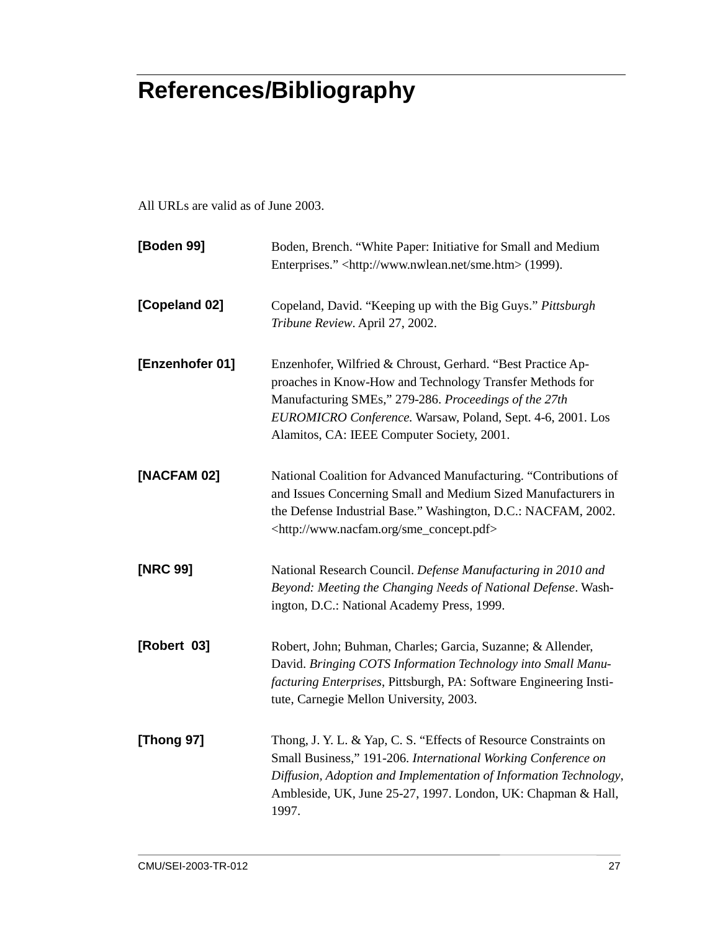# **References/Bibliography**

#### All URLs are valid as of June 2003.

| [Boden 99]      | Boden, Brench. "White Paper: Initiative for Small and Medium<br>Enterprises." <http: sme.htm="" www.nwlean.net=""> (1999).</http:>                                                                                                                                                           |  |  |  |
|-----------------|----------------------------------------------------------------------------------------------------------------------------------------------------------------------------------------------------------------------------------------------------------------------------------------------|--|--|--|
| [Copeland 02]   | Copeland, David. "Keeping up with the Big Guys." Pittsburgh<br>Tribune Review. April 27, 2002.                                                                                                                                                                                               |  |  |  |
| [Enzenhofer 01] | Enzenhofer, Wilfried & Chroust, Gerhard. "Best Practice Ap-<br>proaches in Know-How and Technology Transfer Methods for<br>Manufacturing SMEs," 279-286. Proceedings of the 27th<br>EUROMICRO Conference. Warsaw, Poland, Sept. 4-6, 2001. Los<br>Alamitos, CA: IEEE Computer Society, 2001. |  |  |  |
| [NACFAM 02]     | National Coalition for Advanced Manufacturing. "Contributions of<br>and Issues Concerning Small and Medium Sized Manufacturers in<br>the Defense Industrial Base." Washington, D.C.: NACFAM, 2002.<br><http: sme_concept.pdf="" www.nacfam.org=""></http:>                                   |  |  |  |
| [NRC 99]        | National Research Council. Defense Manufacturing in 2010 and<br>Beyond: Meeting the Changing Needs of National Defense. Wash-<br>ington, D.C.: National Academy Press, 1999.                                                                                                                 |  |  |  |
| [Robert 03]     | Robert, John; Buhman, Charles; Garcia, Suzanne; & Allender,<br>David. Bringing COTS Information Technology into Small Manu-<br>facturing Enterprises, Pittsburgh, PA: Software Engineering Insti-<br>tute, Carnegie Mellon University, 2003.                                                 |  |  |  |
| [Thong 97]      | Thong, J. Y. L. & Yap, C. S. "Effects of Resource Constraints on<br>Small Business," 191-206. International Working Conference on<br>Diffusion, Adoption and Implementation of Information Technology,<br>Ambleside, UK, June 25-27, 1997. London, UK: Chapman & Hall,<br>1997.              |  |  |  |